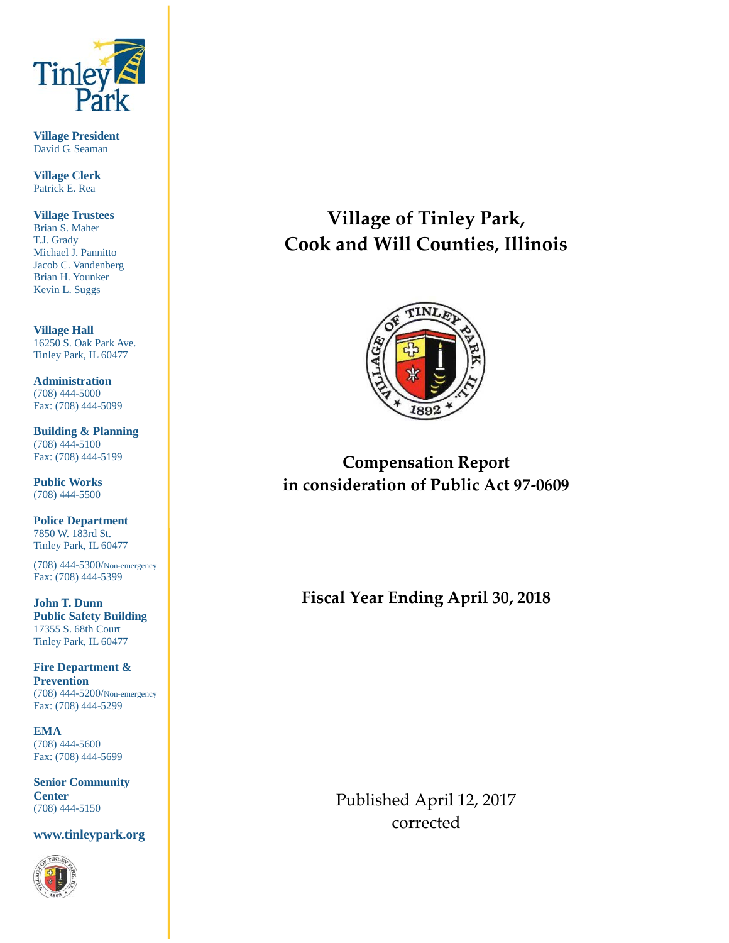

**Village President** David G. Seaman

**Village Clerk** Patrick E. Rea

**Village Trustees** Brian S. Maher T.J. Grady Michael J. Pannitto Jacob C. Vandenberg Brian H. Younker Kevin L. Suggs

**Village Hall** 16250 S. Oak Park Ave. Tinley Park, IL 60477

**Administration** (708) 444-5000 Fax: (708) 444-5099

**Building & Planning** (708) 444-5100 Fax: (708) 444-5199

**Public Works** (708) 444-5500

**Police Department** 7850 W. 183rd St. Tinley Park, IL 60477

(708) 444-5300/Non-emergency Fax: (708) 444-5399

**John T. Dunn Public Safety Building** 17355 S. 68th Court Tinley Park, IL 60477

**Fire Department & Prevention** (708) 444-5200/Non-emergency Fax: (708) 444-5299

**EMA** (708) 444-5600 Fax: (708) 444-5699

**Senior Community Center** (708) 444-5150

**www.tinleypark.org**



# **Village of Tinley Park, Cook and Will Counties, Illinois**



# **Compensation Report in consideration of Public Act 97-0609**

**Fiscal Year Ending April 30, 2018**

Published April 12, 2017 corrected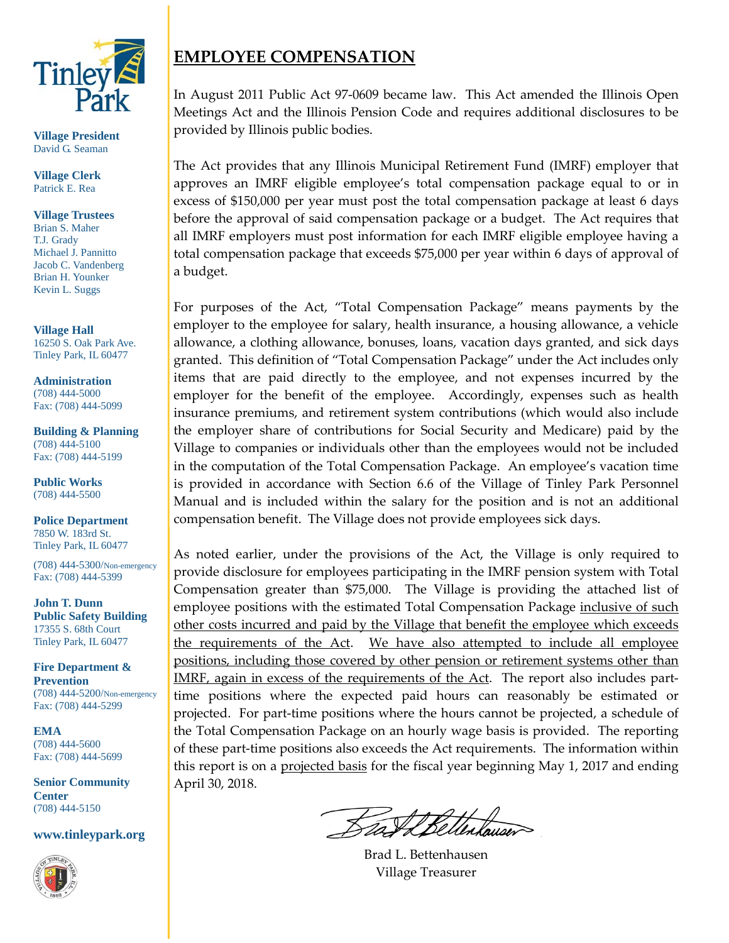

**Village President** David G. Seaman

**Village Clerk** Patrick E. Rea

**Village Trustees** Brian S. Maher T.J. Grady Michael J. Pannitto Jacob C. Vandenberg Brian H. Younker Kevin L. Suggs

**Village Hall** 16250 S. Oak Park Ave. Tinley Park, IL 60477

**Administration** (708) 444-5000 Fax: (708) 444-5099

**Building & Planning** (708) 444-5100 Fax: (708) 444-5199

**Public Works** (708) 444-5500

**Police Department** 7850 W. 183rd St. Tinley Park, IL 60477

(708) 444-5300/Non-emergency Fax: (708) 444-5399

**John T. Dunn Public Safety Building** 17355 S. 68th Court Tinley Park, IL 60477

**Fire Department & Prevention** (708) 444-5200/Non-emergency Fax: (708) 444-5299

**EMA** (708) 444-5600 Fax: (708) 444-5699

**Senior Community Center** (708) 444-5150

**www.tinleypark.org**



# **EMPLOYEE COMPENSATION**

In August 2011 Public Act 97-0609 became law. This Act amended the Illinois Open Meetings Act and the Illinois Pension Code and requires additional disclosures to be provided by Illinois public bodies.

The Act provides that any Illinois Municipal Retirement Fund (IMRF) employer that approves an IMRF eligible employee's total compensation package equal to or in excess of \$150,000 per year must post the total compensation package at least 6 days before the approval of said compensation package or a budget. The Act requires that all IMRF employers must post information for each IMRF eligible employee having a total compensation package that exceeds \$75,000 per year within 6 days of approval of a budget.

For purposes of the Act, "Total Compensation Package" means payments by the employer to the employee for salary, health insurance, a housing allowance, a vehicle allowance, a clothing allowance, bonuses, loans, vacation days granted, and sick days granted. This definition of "Total Compensation Package" under the Act includes only items that are paid directly to the employee, and not expenses incurred by the employer for the benefit of the employee. Accordingly, expenses such as health insurance premiums, and retirement system contributions (which would also include the employer share of contributions for Social Security and Medicare) paid by the Village to companies or individuals other than the employees would not be included in the computation of the Total Compensation Package. An employee's vacation time is provided in accordance with Section 6.6 of the Village of Tinley Park Personnel Manual and is included within the salary for the position and is not an additional compensation benefit. The Village does not provide employees sick days.

As noted earlier, under the provisions of the Act, the Village is only required to provide disclosure for employees participating in the IMRF pension system with Total Compensation greater than \$75,000. The Village is providing the attached list of employee positions with the estimated Total Compensation Package inclusive of such other costs incurred and paid by the Village that benefit the employee which exceeds the requirements of the Act. We have also attempted to include all employee positions, including those covered by other pension or retirement systems other than IMRF, again in excess of the requirements of the Act. The report also includes parttime positions where the expected paid hours can reasonably be estimated or projected. For part-time positions where the hours cannot be projected, a schedule of the Total Compensation Package on an hourly wage basis is provided. The reporting of these part-time positions also exceeds the Act requirements. The information within this report is on a projected basis for the fiscal year beginning May 1, 2017 and ending April 30, 2018.

Brad L. Bettenhausen Village Treasurer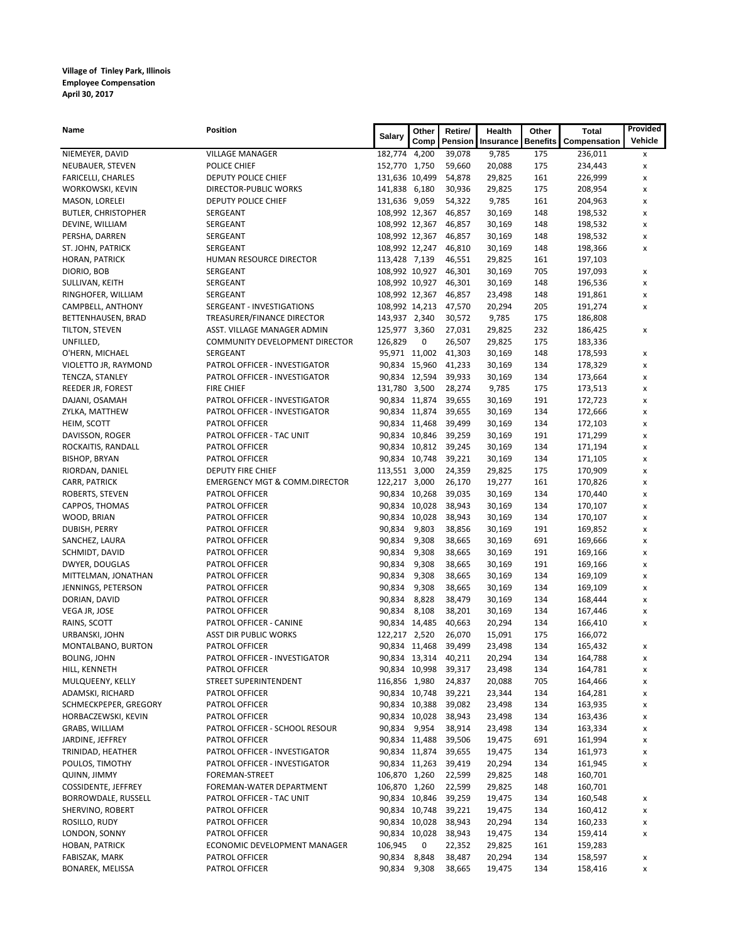| Name                                    | Position                                 | <b>Salary</b>                    | Other | Retire/              | Health           | Other           | <b>Total</b>       | Provided       |
|-----------------------------------------|------------------------------------------|----------------------------------|-------|----------------------|------------------|-----------------|--------------------|----------------|
|                                         |                                          |                                  | Comp  | Pension              | Insurance        | <b>Benefits</b> | Compensation       | Vehicle        |
| NIEMEYER, DAVID                         | <b>VILLAGE MANAGER</b>                   | 182,774 4,200                    |       | 39,078               | 9,785            | 175             | 236,011            | x              |
| NEUBAUER, STEVEN                        | POLICE CHIEF                             | 152,770 1,750                    |       | 59,660               | 20,088           | 175             | 234,443            | x              |
| <b>FARICELLI, CHARLES</b>               | DEPUTY POLICE CHIEF                      | 131,636 10,499                   |       | 54,878               | 29,825           | 161             | 226,999            | x              |
| WORKOWSKI, KEVIN                        | DIRECTOR-PUBLIC WORKS                    | 141,838 6,180                    |       | 30,936               | 29,825           | 175             | 208,954            | x              |
| MASON, LORELEI                          | DEPUTY POLICE CHIEF                      | 131,636 9,059                    |       | 54,322               | 9,785            | 161             | 204,963            | x              |
| <b>BUTLER, CHRISTOPHER</b>              | SERGEANT                                 | 108,992 12,367                   |       | 46,857               | 30,169           | 148             | 198,532            | x              |
| DEVINE, WILLIAM                         | SERGEANT                                 | 108,992 12,367                   |       | 46,857               | 30,169           | 148             | 198,532            | x              |
| PERSHA, DARREN                          | SERGEANT                                 | 108,992 12,367                   |       | 46,857               | 30,169           | 148             | 198,532            | x              |
| ST. JOHN, PATRICK                       | SERGEANT                                 | 108,992 12,247                   |       | 46,810               | 30,169           | 148             | 198,366            | x              |
| HORAN, PATRICK                          | HUMAN RESOURCE DIRECTOR                  | 113,428 7,139                    |       | 46,551               | 29,825           | 161             | 197,103            |                |
| DIORIO, BOB                             | SERGEANT                                 | 108,992 10,927                   |       | 46,301               | 30,169           | 705             | 197,093            | x              |
| SULLIVAN, KEITH                         | SERGEANT<br>SERGEANT                     | 108,992 10,927<br>108,992 12,367 |       | 46,301<br>46,857     | 30,169           | 148<br>148      | 196,536            | x              |
| RINGHOFER, WILLIAM<br>CAMPBELL, ANTHONY | SERGEANT - INVESTIGATIONS                | 108,992 14,213                   |       | 47,570               | 23,498<br>20,294 | 205             | 191,861<br>191,274 | x<br>x         |
| BETTENHAUSEN, BRAD                      | TREASURER/FINANCE DIRECTOR               | 143,937 2,340                    |       | 30,572               | 9,785            | 175             | 186,808            |                |
| TILTON, STEVEN                          | ASST. VILLAGE MANAGER ADMIN              | 125,977 3,360                    |       | 27,031               | 29,825           | 232             | 186,425            | x              |
| UNFILLED,                               | COMMUNITY DEVELOPMENT DIRECTOR           | 126,829                          | 0     | 26,507               | 29,825           | 175             | 183,336            |                |
| O'HERN, MICHAEL                         | SERGEANT                                 |                                  |       | 95,971 11,002 41,303 | 30,169           | 148             | 178,593            | x              |
| VIOLETTO JR, RAYMOND                    | PATROL OFFICER - INVESTIGATOR            | 90,834 15,960                    |       | 41,233               | 30,169           | 134             | 178,329            | x              |
| TENCZA, STANLEY                         | PATROL OFFICER - INVESTIGATOR            | 90,834 12,594                    |       | 39,933               | 30,169           | 134             | 173,664            | x              |
| REEDER JR, FOREST                       | <b>FIRE CHIEF</b>                        | 131,780 3,500                    |       | 28,274               | 9,785            | 175             | 173,513            | x              |
| DAJANI, OSAMAH                          | PATROL OFFICER - INVESTIGATOR            | 90,834 11,874                    |       | 39,655               | 30,169           | 191             | 172,723            | x              |
| ZYLKA, MATTHEW                          | PATROL OFFICER - INVESTIGATOR            | 90,834 11,874                    |       | 39,655               | 30,169           | 134             | 172,666            | x              |
| HEIM, SCOTT                             | PATROL OFFICER                           | 90,834 11,468                    |       | 39,499               | 30,169           | 134             | 172,103            | x              |
| DAVISSON, ROGER                         | PATROL OFFICER - TAC UNIT                | 90,834 10,846                    |       | 39,259               | 30,169           | 191             | 171,299            | x              |
| ROCKAITIS, RANDALL                      | PATROL OFFICER                           | 90,834 10,812                    |       | 39,245               | 30,169           | 134             | 171,194            | x              |
| <b>BISHOP, BRYAN</b>                    | PATROL OFFICER                           | 90,834 10,748                    |       | 39,221               | 30,169           | 134             | 171,105            | $\pmb{\times}$ |
| RIORDAN, DANIEL                         | DEPUTY FIRE CHIEF                        | 113,551 3,000                    |       | 24,359               | 29,825           | 175             | 170,909            | x              |
| CARR, PATRICK                           | <b>EMERGENCY MGT &amp; COMM.DIRECTOR</b> | 122,217 3,000                    |       | 26,170               | 19,277           | 161             | 170,826            | x              |
| ROBERTS, STEVEN                         | PATROL OFFICER                           | 90,834 10,268                    |       | 39,035               | 30,169           | 134             | 170,440            | x              |
| CAPPOS, THOMAS                          | PATROL OFFICER                           | 90,834 10,028                    |       | 38,943               | 30,169           | 134             | 170,107            | x              |
| WOOD, BRIAN                             | PATROL OFFICER                           | 90,834 10,028                    |       | 38,943               | 30,169           | 134             | 170,107            | x              |
| DUBISH, PERRY                           | PATROL OFFICER                           | 90,834                           | 9,803 | 38,856               | 30,169           | 191             | 169,852            | x              |
| SANCHEZ, LAURA                          | PATROL OFFICER                           | 90,834                           | 9,308 | 38,665               | 30,169           | 691             | 169,666            | x              |
| SCHMIDT, DAVID                          | PATROL OFFICER                           | 90,834                           | 9,308 | 38,665               | 30,169           | 191             | 169,166            | x              |
| DWYER, DOUGLAS                          | PATROL OFFICER                           | 90,834                           | 9,308 | 38,665               | 30,169           | 191             | 169,166            | x              |
| MITTELMAN, JONATHAN                     | PATROL OFFICER                           | 90,834                           | 9,308 | 38,665               | 30,169           | 134             | 169,109            | x              |
| JENNINGS, PETERSON                      | PATROL OFFICER                           | 90,834                           | 9,308 | 38,665               | 30,169           | 134             | 169,109            | x              |
| DORIAN, DAVID                           | PATROL OFFICER                           | 90,834                           | 8,828 | 38,479               | 30,169           | 134             | 168,444            | x              |
| VEGA JR, JOSE                           | PATROL OFFICER                           | 90,834                           | 8,108 | 38,201               | 30,169           | 134             | 167,446            | х              |
| RAINS, SCOTT                            | PATROL OFFICER - CANINE                  | 90,834 14,485                    |       | 40,663               | 20,294           | 134             | 166,410            | x              |
| URBANSKI, JOHN                          | <b>ASST DIR PUBLIC WORKS</b>             | 122,217 2,520                    |       | 26,070               | 15,091           | 175             | 166,072            |                |
| MONTALBANO, BURTON                      | PATROL OFFICER                           |                                  |       | 90,834 11,468 39,499 | 23,498           | 134             | 165,432            | x              |
| BOLING, JOHN                            | PATROL OFFICER - INVESTIGATOR            |                                  |       | 90,834 13,314 40,211 | 20,294           | 134             | 164,788            | x              |
| HILL, KENNETH                           | PATROL OFFICER                           | 90,834 10,998                    |       | 39,317               | 23,498           | 134             | 164,781            | х              |
| MULQUEENY, KELLY                        | STREET SUPERINTENDENT                    | 116,856 1,980                    |       | 24,837               | 20,088           | 705             | 164,466            | x              |
| ADAMSKI, RICHARD                        | PATROL OFFICER                           | 90,834 10,748                    |       | 39,221               | 23,344           | 134             | 164,281            | х              |
| SCHMECKPEPER, GREGORY                   | PATROL OFFICER                           | 90,834 10,388                    |       | 39,082               | 23,498           | 134             | 163,935            | x              |
| HORBACZEWSKI, KEVIN                     | PATROL OFFICER                           | 90,834 10,028                    |       | 38,943               | 23,498           | 134             | 163,436            | х              |
| GRABS, WILLIAM                          | PATROL OFFICER - SCHOOL RESOUR           | 90,834 9,954                     |       | 38,914               | 23,498           | 134             | 163,334            | х              |
| JARDINE, JEFFREY                        | PATROL OFFICER                           | 90,834 11,488                    |       | 39,506               | 19,475           | 691             | 161,994            | x              |
| TRINIDAD, HEATHER                       | PATROL OFFICER - INVESTIGATOR            | 90,834 11,874                    |       | 39,655               | 19,475           | 134             | 161,973            | x              |
| POULOS, TIMOTHY                         | PATROL OFFICER - INVESTIGATOR            | 90,834 11,263                    |       | 39,419               | 20,294           | 134             | 161,945            | x              |
| QUINN, JIMMY                            | FOREMAN-STREET                           | 106,870 1,260                    |       | 22,599               | 29,825           | 148             | 160,701            |                |
| COSSIDENTE, JEFFREY                     | FOREMAN-WATER DEPARTMENT                 | 106,870 1,260                    |       | 22,599               | 29,825           | 148             | 160,701            |                |
| BORROWDALE, RUSSELL                     | PATROL OFFICER - TAC UNIT                | 90,834 10,846                    |       | 39,259               | 19,475           | 134             | 160,548            | х              |
| SHERVINO, ROBERT                        | PATROL OFFICER                           | 90,834 10,748                    |       | 39,221               | 19,475           | 134             | 160,412            | х              |
| ROSILLO, RUDY                           | PATROL OFFICER                           | 90,834 10,028                    |       | 38,943               | 20,294           | 134             | 160,233            | x              |
| LONDON, SONNY                           | PATROL OFFICER                           | 90,834 10,028                    |       | 38,943               | 19,475           | 134             | 159,414            | x              |
| HOBAN, PATRICK                          | ECONOMIC DEVELOPMENT MANAGER             | 106,945                          | 0     | 22,352               | 29,825           | 161             | 159,283            |                |
| FABISZAK, MARK                          | PATROL OFFICER                           | 90,834                           | 8,848 | 38,487               | 20,294           | 134             | 158,597            | x              |
| BONAREK, MELISSA                        | PATROL OFFICER                           | 90,834                           | 9,308 | 38,665               | 19,475           | 134             | 158,416            | x              |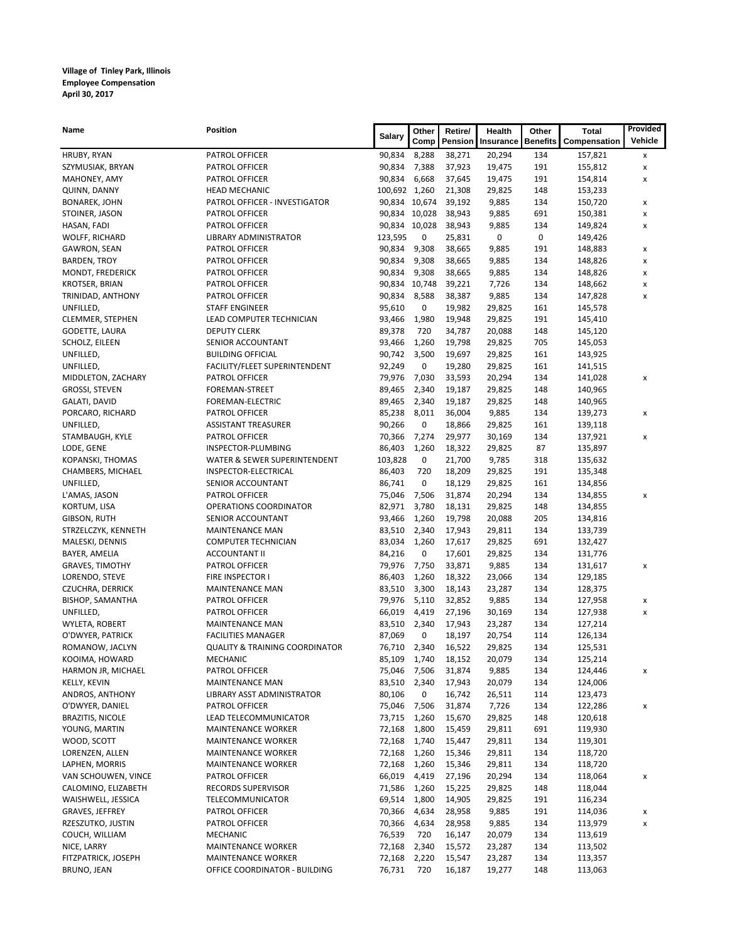| Name                    | Position                                  | <b>Salary</b> | Other         | Retire/ | Health    | Other           | <b>Total</b> | Provided |
|-------------------------|-------------------------------------------|---------------|---------------|---------|-----------|-----------------|--------------|----------|
|                         |                                           |               | Comp          | Pension | Insurance | <b>Benefits</b> | Compensation | Vehicle  |
| HRUBY, RYAN             | PATROL OFFICER                            | 90,834        | 8,288         | 38,271  | 20,294    | 134             | 157,821      | x        |
| SZYMUSIAK, BRYAN        | PATROL OFFICER                            | 90,834        | 7,388         | 37,923  | 19,475    | 191             | 155,812      | x        |
| MAHONEY, AMY            | PATROL OFFICER                            | 90,834        | 6,668         | 37,645  | 19,475    | 191             | 154,814      | x        |
| QUINN, DANNY            | <b>HEAD MECHANIC</b>                      | 100,692 1,260 |               | 21,308  | 29,825    | 148             | 153,233      |          |
| <b>BONAREK, JOHN</b>    | PATROL OFFICER - INVESTIGATOR             |               | 90,834 10,674 | 39,192  | 9,885     | 134             | 150,720      | x        |
| STOINER, JASON          | PATROL OFFICER                            |               | 90,834 10,028 | 38,943  | 9,885     | 691             | 150,381      | x        |
| HASAN, FADI             | PATROL OFFICER                            |               | 90,834 10,028 | 38,943  | 9,885     | 134             | 149,824      | x        |
| WOLFF, RICHARD          | LIBRARY ADMINISTRATOR                     | 123,595       | 0             | 25,831  | 0         | 0               | 149,426      |          |
| GAWRON, SEAN            | PATROL OFFICER                            | 90,834        | 9,308         | 38,665  | 9,885     | 191             | 148,883      | x        |
| <b>BARDEN, TROY</b>     | PATROL OFFICER                            | 90,834        | 9,308         | 38,665  | 9,885     | 134             | 148,826      | x        |
| MONDT, FREDERICK        | PATROL OFFICER                            | 90,834        | 9,308         | 38,665  | 9,885     | 134             | 148,826      | x        |
| <b>KROTSER, BRIAN</b>   | PATROL OFFICER                            |               | 90,834 10,748 | 39,221  | 7,726     | 134             | 148,662      | X        |
| TRINIDAD, ANTHONY       | PATROL OFFICER                            | 90,834        | 8,588         | 38,387  | 9,885     | 134             | 147,828      | x        |
| UNFILLED,               | <b>STAFF ENGINEER</b>                     | 95,610        | 0             | 19,982  | 29,825    | 161             | 145,578      |          |
| CLEMMER, STEPHEN        | LEAD COMPUTER TECHNICIAN                  | 93,466        | 1,980         | 19,948  | 29,825    | 191             | 145,410      |          |
| GODETTE, LAURA          | <b>DEPUTY CLERK</b>                       | 89,378        | 720           | 34,787  | 20,088    | 148             | 145,120      |          |
| SCHOLZ, EILEEN          | SENIOR ACCOUNTANT                         | 93,466        | 1,260         | 19,798  | 29,825    | 705             | 145,053      |          |
| UNFILLED,               | <b>BUILDING OFFICIAL</b>                  | 90,742        | 3,500         | 19,697  | 29,825    | 161             | 143,925      |          |
| UNFILLED,               | FACILITY/FLEET SUPERINTENDENT             | 92,249        | 0             | 19,280  | 29,825    | 161             | 141,515      |          |
| MIDDLETON, ZACHARY      | PATROL OFFICER                            | 79,976        | 7,030         | 33,593  | 20,294    | 134             | 141,028      | x        |
| GROSSI, STEVEN          | FOREMAN-STREET                            | 89,465        | 2,340         | 19,187  | 29,825    | 148             | 140,965      |          |
| GALATI, DAVID           | FOREMAN-ELECTRIC                          | 89,465        | 2,340         | 19,187  | 29,825    | 148             | 140,965      |          |
| PORCARO, RICHARD        | PATROL OFFICER                            | 85,238        | 8,011         | 36,004  | 9,885     | 134             | 139,273      | x        |
| UNFILLED,               | <b>ASSISTANT TREASURER</b>                | 90,266        | 0             | 18,866  | 29,825    | 161             | 139,118      |          |
| STAMBAUGH, KYLE         | PATROL OFFICER                            | 70,366        | 7,274         | 29,977  | 30,169    | 134             | 137,921      | x        |
| LODE, GENE              | INSPECTOR-PLUMBING                        | 86,403        | 1,260         | 18,322  | 29,825    | 87              | 135,897      |          |
| KOPANSKI, THOMAS        | WATER & SEWER SUPERINTENDENT              | 103,828       | 0             | 21,700  | 9,785     | 318             | 135,632      |          |
| CHAMBERS, MICHAEL       | INSPECTOR-ELECTRICAL                      | 86,403        | 720           | 18,209  | 29,825    | 191             | 135,348      |          |
| UNFILLED,               | SENIOR ACCOUNTANT                         | 86,741        | 0             | 18,129  | 29,825    | 161             | 134,856      |          |
| L'AMAS, JASON           | PATROL OFFICER                            | 75,046        | 7,506         | 31,874  | 20,294    | 134             | 134,855      | x        |
| KORTUM, LISA            | OPERATIONS COORDINATOR                    | 82,971        | 3,780         | 18,131  | 29,825    | 148             | 134,855      |          |
| GIBSON, RUTH            | SENIOR ACCOUNTANT                         | 93,466        | 1,260         | 19,798  | 20,088    | 205             | 134,816      |          |
| STRZELCZYK, KENNETH     | <b>MAINTENANCE MAN</b>                    | 83,510        | 2,340         | 17,943  | 29,811    | 134             | 133,739      |          |
| MALESKI, DENNIS         | <b>COMPUTER TECHNICIAN</b>                | 83,034        | 1,260         | 17,617  | 29,825    | 691             | 132,427      |          |
| BAYER, AMELIA           | <b>ACCOUNTANT II</b>                      | 84,216        | 0             | 17,601  | 29,825    | 134             | 131,776      |          |
| <b>GRAVES, TIMOTHY</b>  | PATROL OFFICER                            | 79,976        | 7,750         | 33,871  | 9,885     | 134             | 131,617      | x        |
| LORENDO, STEVE          | FIRE INSPECTOR I                          | 86,403        | 1,260         | 18,322  | 23,066    | 134             | 129,185      |          |
| <b>CZUCHRA, DERRICK</b> | <b>MAINTENANCE MAN</b>                    | 83,510        | 3,300         | 18,143  | 23,287    | 134             | 128,375      |          |
| <b>BISHOP, SAMANTHA</b> | PATROL OFFICER                            | 79,976        | 5,110         | 32,852  | 9,885     | 134             | 127,958      | x        |
| UNFILLED,               | PATROL OFFICER                            | 66,019        | 4,419         | 27,196  | 30,169    | 134             | 127,938      | x        |
| WYLETA, ROBERT          | <b>MAINTENANCE MAN</b>                    | 83,510        | 2,340         | 17,943  | 23,287    | 134             | 127,214      |          |
| O'DWYER, PATRICK        | <b>FACILITIES MANAGER</b>                 | 87,069        | 0             | 18,197  | 20,754    | 114             | 126,134      |          |
| ROMANOW, JACLYN         | <b>QUALITY &amp; TRAINING COORDINATOR</b> | 76,710 2,340  |               | 16,522  | 29,825    | 134             | 125,531      |          |
| KOOIMA, HOWARD          | MECHANIC                                  | 85,109        | 1,740         | 18,152  | 20,079    | 134             | 125,214      |          |
| HARMON JR, MICHAEL      | PATROL OFFICER                            | 75,046 7,506  |               | 31,874  | 9,885     | 134             | 124,446      | x        |
| KELLY, KEVIN            | MAINTENANCE MAN                           | 83,510        | 2,340         | 17,943  | 20,079    | 134             | 124,006      |          |
| ANDROS, ANTHONY         | LIBRARY ASST ADMINISTRATOR                | 80,106        | 0             | 16,742  | 26,511    | 114             | 123,473      |          |
| O'DWYER, DANIEL         | PATROL OFFICER                            | 75,046        | 7,506         | 31,874  | 7,726     | 134             | 122,286      | x        |
| <b>BRAZITIS, NICOLE</b> | LEAD TELECOMMUNICATOR                     | 73,715        | 1,260         | 15,670  | 29,825    | 148             | 120,618      |          |
| YOUNG, MARTIN           | <b>MAINTENANCE WORKER</b>                 | 72,168        | 1,800         | 15,459  | 29,811    | 691             | 119,930      |          |
| WOOD, SCOTT             | <b>MAINTENANCE WORKER</b>                 | 72,168        | 1,740         | 15,447  | 29,811    | 134             | 119,301      |          |
| LORENZEN, ALLEN         | <b>MAINTENANCE WORKER</b>                 | 72,168        | 1,260         | 15,346  | 29,811    | 134             | 118,720      |          |
| LAPHEN, MORRIS          | <b>MAINTENANCE WORKER</b>                 | 72,168        | 1,260         | 15,346  | 29,811    | 134             | 118,720      |          |
| VAN SCHOUWEN, VINCE     | PATROL OFFICER                            | 66,019        | 4,419         | 27,196  | 20,294    | 134             | 118,064      | x        |
| CALOMINO, ELIZABETH     | RECORDS SUPERVISOR                        | 71,586        | 1,260         | 15,225  | 29,825    | 148             | 118,044      |          |
| WAISHWELL, JESSICA      | TELECOMMUNICATOR                          | 69,514        | 1,800         | 14,905  | 29,825    | 191             | 116,234      |          |
| GRAVES, JEFFREY         | PATROL OFFICER                            | 70,366        | 4,634         | 28,958  | 9,885     | 191             | 114,036      | x        |
| RZESZUTKO, JUSTIN       | PATROL OFFICER                            | 70,366        | 4,634         | 28,958  | 9,885     | 134             | 113,979      | x        |
| COUCH, WILLIAM          | MECHANIC                                  | 76,539        | 720           | 16,147  | 20,079    | 134             | 113,619      |          |
| NICE, LARRY             | <b>MAINTENANCE WORKER</b>                 | 72,168        | 2,340         | 15,572  | 23,287    | 134             | 113,502      |          |
| FITZPATRICK, JOSEPH     | <b>MAINTENANCE WORKER</b>                 | 72,168        | 2,220         | 15,547  | 23,287    | 134             | 113,357      |          |
| BRUNO, JEAN             | OFFICE COORDINATOR - BUILDING             | 76,731        | 720           | 16,187  | 19,277    | 148             | 113,063      |          |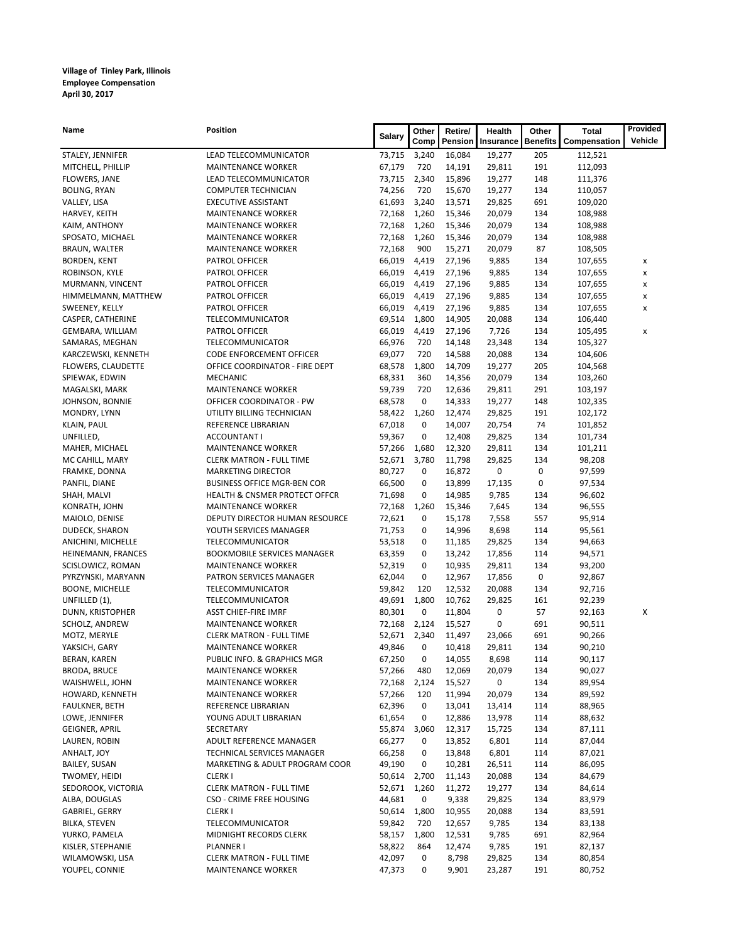| Name                   | Position                                 | Salary | Other | Retire/ | Health    | Other           | <b>Total</b> | Provided |
|------------------------|------------------------------------------|--------|-------|---------|-----------|-----------------|--------------|----------|
|                        |                                          |        | Comp  | Pension | Insurance | <b>Benefits</b> | Compensation | Vehicle  |
| STALEY, JENNIFER       | LEAD TELECOMMUNICATOR                    | 73,715 | 3,240 | 16,084  | 19,277    | 205             | 112,521      |          |
| MITCHELL, PHILLIP      | <b>MAINTENANCE WORKER</b>                | 67,179 | 720   | 14,191  | 29,811    | 191             | 112,093      |          |
| FLOWERS, JANE          | LEAD TELECOMMUNICATOR                    | 73,715 | 2,340 | 15,896  | 19,277    | 148             | 111,376      |          |
| <b>BOLING, RYAN</b>    | <b>COMPUTER TECHNICIAN</b>               | 74,256 | 720   | 15,670  | 19,277    | 134             | 110,057      |          |
| VALLEY, LISA           | <b>EXECUTIVE ASSISTANT</b>               | 61,693 | 3,240 | 13,571  | 29,825    | 691             | 109,020      |          |
| HARVEY, KEITH          | <b>MAINTENANCE WORKER</b>                | 72,168 | 1,260 | 15,346  | 20,079    | 134             | 108,988      |          |
| KAIM, ANTHONY          | <b>MAINTENANCE WORKER</b>                | 72,168 | 1,260 | 15,346  | 20,079    | 134             | 108,988      |          |
| SPOSATO, MICHAEL       | <b>MAINTENANCE WORKER</b>                | 72,168 | 1,260 | 15,346  | 20,079    | 134             | 108,988      |          |
| BRAUN, WALTER          | <b>MAINTENANCE WORKER</b>                | 72,168 | 900   | 15,271  | 20,079    | 87              | 108,505      |          |
| BORDEN, KENT           | PATROL OFFICER                           | 66,019 | 4,419 | 27,196  | 9,885     | 134             | 107,655      | X        |
| ROBINSON, KYLE         | PATROL OFFICER                           | 66,019 | 4,419 | 27,196  | 9,885     | 134             | 107,655      | x        |
| MURMANN, VINCENT       | PATROL OFFICER                           | 66,019 | 4,419 | 27,196  | 9,885     | 134             | 107,655      | x        |
| HIMMELMANN, MATTHEW    | PATROL OFFICER                           | 66,019 | 4,419 | 27,196  | 9,885     | 134             | 107,655      | x        |
| SWEENEY, KELLY         | PATROL OFFICER                           | 66,019 | 4,419 | 27,196  | 9,885     | 134             | 107,655      | x        |
| CASPER, CATHERINE      | TELECOMMUNICATOR                         | 69,514 | 1,800 | 14,905  | 20,088    | 134             | 106,440      |          |
| GEMBARA, WILLIAM       | PATROL OFFICER                           | 66,019 | 4,419 | 27,196  | 7,726     | 134             | 105,495      | x        |
| SAMARAS, MEGHAN        | TELECOMMUNICATOR                         | 66,976 | 720   | 14,148  | 23,348    | 134             | 105,327      |          |
| KARCZEWSKI, KENNETH    | CODE ENFORCEMENT OFFICER                 | 69,077 | 720   | 14,588  | 20,088    | 134             | 104,606      |          |
| FLOWERS, CLAUDETTE     | OFFICE COORDINATOR - FIRE DEPT           | 68,578 | 1,800 | 14,709  | 19,277    | 205             | 104,568      |          |
| SPIEWAK, EDWIN         | MECHANIC                                 | 68,331 | 360   | 14,356  | 20,079    | 134             | 103,260      |          |
| MAGALSKI, MARK         | <b>MAINTENANCE WORKER</b>                | 59,739 | 720   | 12,636  | 29,811    | 291             | 103,197      |          |
| JOHNSON, BONNIE        | OFFICER COORDINATOR - PW                 | 68,578 | 0     | 14,333  | 19,277    | 148             | 102,335      |          |
| MONDRY, LYNN           | UTILITY BILLING TECHNICIAN               | 58,422 | 1,260 | 12,474  | 29,825    | 191             | 102,172      |          |
| KLAIN, PAUL            | REFERENCE LIBRARIAN                      | 67,018 | 0     | 14,007  | 20,754    | 74              | 101,852      |          |
| UNFILLED,              | ACCOUNTANT I                             | 59,367 | 0     | 12,408  | 29,825    | 134             | 101,734      |          |
| MAHER, MICHAEL         | <b>MAINTENANCE WORKER</b>                | 57,266 | 1,680 | 12,320  | 29,811    | 134             | 101,211      |          |
| MC CAHILL, MARY        | <b>CLERK MATRON - FULL TIME</b>          | 52,671 | 3,780 | 11,798  | 29,825    | 134             | 98,208       |          |
| FRAMKE, DONNA          | <b>MARKETING DIRECTOR</b>                | 80,727 | 0     | 16,872  | 0         | 0               | 97,599       |          |
| PANFIL, DIANE          | <b>BUSINESS OFFICE MGR-BEN COR</b>       | 66,500 | 0     | 13,899  | 17,135    | 0               | 97,534       |          |
| SHAH, MALVI            | <b>HEALTH &amp; CNSMER PROTECT OFFCR</b> | 71,698 | 0     | 14,985  | 9,785     | 134             | 96,602       |          |
| KONRATH, JOHN          | <b>MAINTENANCE WORKER</b>                | 72,168 | 1,260 | 15,346  | 7,645     | 134             | 96,555       |          |
| MAIOLO, DENISE         | DEPUTY DIRECTOR HUMAN RESOURCE           | 72,621 | 0     | 15,178  | 7,558     | 557             | 95,914       |          |
| DUDECK, SHARON         | YOUTH SERVICES MANAGER                   | 71,753 | 0     | 14,996  | 8,698     | 114             | 95,561       |          |
| ANICHINI, MICHELLE     | TELECOMMUNICATOR                         | 53,518 | 0     | 11,185  | 29,825    | 134             | 94,663       |          |
| HEINEMANN, FRANCES     | <b>BOOKMOBILE SERVICES MANAGER</b>       | 63,359 | 0     | 13,242  | 17,856    | 114             | 94,571       |          |
| SCISLOWICZ, ROMAN      | <b>MAINTENANCE WORKER</b>                | 52,319 | 0     | 10,935  | 29,811    | 134             | 93,200       |          |
| PYRZYNSKI, MARYANN     | PATRON SERVICES MANAGER                  | 62,044 | 0     | 12,967  | 17,856    | 0               | 92,867       |          |
| <b>BOONE, MICHELLE</b> | TELECOMMUNICATOR                         | 59,842 | 120   | 12,532  | 20,088    | 134             | 92,716       |          |
| UNFILLED (1),          | TELECOMMUNICATOR                         | 49,691 | 1,800 | 10,762  | 29,825    | 161             | 92,239       |          |
| DUNN, KRISTOPHER       | <b>ASST CHIEF-FIRE IMRF</b>              | 80,301 | 0     | 11,804  | 0         | 57              | 92,163       | х        |
| SCHOLZ, ANDREW         | <b>MAINTENANCE WORKER</b>                | 72,168 | 2,124 | 15,527  | 0         | 691             | 90,511       |          |
| MOTZ, MERYLE           | <b>CLERK MATRON - FULL TIME</b>          | 52,671 | 2,340 | 11,497  | 23,066    | 691             | 90,266       |          |
| YAKSICH, GARY          | <b>MAINTENANCE WORKER</b>                | 49,846 | 0     | 10,418  | 29,811    | 134             | 90,210       |          |
| BERAN, KAREN           | PUBLIC INFO. & GRAPHICS MGR              | 67,250 | 0     | 14,055  | 8,698     | 114             | 90,117       |          |
| BRODA, BRUCE           | <b>MAINTENANCE WORKER</b>                | 57,266 | 480   | 12,069  | 20,079    | 134             | 90,027       |          |
| WAISHWELL, JOHN        | <b>MAINTENANCE WORKER</b>                | 72,168 | 2,124 | 15,527  | 0         | 134             | 89,954       |          |
| HOWARD, KENNETH        | <b>MAINTENANCE WORKER</b>                | 57,266 | 120   | 11,994  | 20,079    | 134             | 89,592       |          |
| FAULKNER, BETH         | REFERENCE LIBRARIAN                      | 62,396 | 0     | 13,041  | 13,414    | 114             | 88,965       |          |
| LOWE, JENNIFER         | YOUNG ADULT LIBRARIAN                    | 61,654 | 0     | 12,886  | 13,978    | 114             | 88,632       |          |
| GEIGNER, APRIL         | SECRETARY                                | 55,874 | 3,060 | 12,317  | 15,725    | 134             | 87,111       |          |
| LAUREN, ROBIN          | ADULT REFERENCE MANAGER                  | 66,277 | 0     | 13,852  | 6,801     | 114             | 87,044       |          |
| ANHALT, JOY            | TECHNICAL SERVICES MANAGER               | 66,258 | 0     | 13,848  | 6,801     | 114             | 87,021       |          |
| <b>BAILEY, SUSAN</b>   | MARKETING & ADULT PROGRAM COOR           | 49,190 | 0     | 10,281  | 26,511    | 114             | 86,095       |          |
| TWOMEY, HEIDI          | <b>CLERKI</b>                            | 50,614 | 2,700 | 11,143  | 20,088    | 134             | 84,679       |          |
| SEDOROOK, VICTORIA     | <b>CLERK MATRON - FULL TIME</b>          | 52,671 | 1,260 | 11,272  | 19,277    | 134             | 84,614       |          |
| ALBA, DOUGLAS          | CSO - CRIME FREE HOUSING                 | 44,681 | 0     | 9,338   | 29,825    | 134             | 83,979       |          |
| GABRIEL, GERRY         | <b>CLERKI</b>                            | 50,614 | 1,800 | 10,955  | 20,088    | 134             | 83,591       |          |
| BILKA, STEVEN          | TELECOMMUNICATOR                         | 59,842 | 720   | 12,657  | 9,785     | 134             | 83,138       |          |
| YURKO, PAMELA          | MIDNIGHT RECORDS CLERK                   | 58,157 | 1,800 | 12,531  | 9,785     | 691             | 82,964       |          |
| KISLER, STEPHANIE      | PLANNER I                                | 58,822 | 864   | 12,474  | 9,785     | 191             | 82,137       |          |
| WILAMOWSKI, LISA       | <b>CLERK MATRON - FULL TIME</b>          | 42,097 | 0     | 8,798   | 29,825    | 134             | 80,854       |          |
| YOUPEL, CONNIE         | MAINTENANCE WORKER                       | 47,373 | 0     | 9,901   | 23,287    | 191             | 80,752       |          |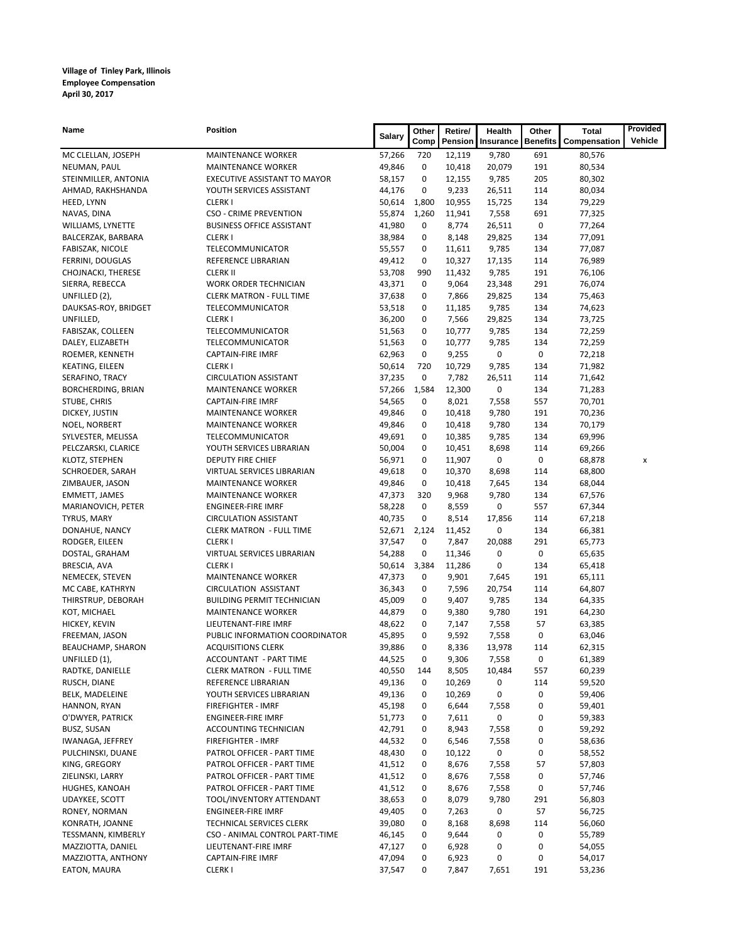| Name                                  | <b>Position</b>                              | <b>Salary</b>    | Other  | Retire/          | Health     | Other           | <b>Total</b>     | Provided |
|---------------------------------------|----------------------------------------------|------------------|--------|------------------|------------|-----------------|------------------|----------|
|                                       |                                              |                  | Comp   | Pension          | Insurance  | <b>Benefits</b> | Compensation     | Vehicle  |
| MC CLELLAN, JOSEPH                    | <b>MAINTENANCE WORKER</b>                    | 57,266           | 720    | 12,119           | 9,780      | 691             | 80,576           |          |
| NEUMAN, PAUL                          | <b>MAINTENANCE WORKER</b>                    | 49,846           | 0      | 10,418           | 20,079     | 191             | 80,534           |          |
| STEINMILLER, ANTONIA                  | EXECUTIVE ASSISTANT TO MAYOR                 | 58,157           | 0      | 12,155           | 9,785      | 205             | 80,302           |          |
| AHMAD, RAKHSHANDA                     | YOUTH SERVICES ASSISTANT                     | 44,176           | 0      | 9,233            | 26,511     | 114             | 80,034           |          |
| HEED, LYNN                            | <b>CLERKI</b>                                | 50,614           | 1,800  | 10,955           | 15,725     | 134             | 79,229           |          |
| NAVAS, DINA                           | <b>CSO - CRIME PREVENTION</b>                | 55,874           | 1,260  | 11,941           | 7,558      | 691             | 77,325           |          |
| WILLIAMS, LYNETTE                     | <b>BUSINESS OFFICE ASSISTANT</b>             | 41,980           | 0      | 8,774            | 26,511     | 0               | 77,264           |          |
| BALCERZAK, BARBARA                    | <b>CLERKI</b>                                | 38,984           | 0      | 8,148            | 29,825     | 134             | 77,091           |          |
| FABISZAK, NICOLE                      | TELECOMMUNICATOR                             | 55,557           | 0      | 11,611           | 9,785      | 134             | 77,087           |          |
| FERRINI, DOUGLAS                      | REFERENCE LIBRARIAN                          | 49,412           | 0      | 10,327           | 17,135     | 114             | 76,989           |          |
| CHOJNACKI, THERESE                    | <b>CLERK II</b>                              | 53,708           | 990    | 11,432           | 9,785      | 191             | 76,106           |          |
| SIERRA, REBECCA                       | WORK ORDER TECHNICIAN                        | 43,371           | 0      | 9,064            | 23,348     | 291             | 76,074           |          |
| UNFILLED (2),                         | <b>CLERK MATRON - FULL TIME</b>              | 37,638           | 0      | 7,866            | 29,825     | 134             | 75,463           |          |
| DAUKSAS-ROY, BRIDGET                  | TELECOMMUNICATOR                             | 53,518           | 0      | 11,185           | 9,785      | 134             | 74,623           |          |
| UNFILLED,                             | <b>CLERKI</b>                                | 36,200           | 0      | 7,566            | 29,825     | 134             | 73,725           |          |
| FABISZAK, COLLEEN                     | TELECOMMUNICATOR                             | 51,563           | 0      | 10,777           | 9,785      | 134             | 72,259           |          |
| DALEY, ELIZABETH                      | TELECOMMUNICATOR                             | 51,563           | 0      | 10,777           | 9,785      | 134             | 72,259           |          |
| ROEMER, KENNETH                       | <b>CAPTAIN-FIRE IMRF</b>                     | 62,963           | 0      | 9,255            | 0          | 0               | 72,218           |          |
| KEATING, EILEEN                       | <b>CLERKI</b>                                | 50,614           | 720    | 10,729           | 9,785      | 134             | 71,982           |          |
| SERAFINO, TRACY                       | <b>CIRCULATION ASSISTANT</b>                 | 37,235           | 0      | 7,782            | 26,511     | 114             | 71,642           |          |
| BORCHERDING, BRIAN                    | <b>MAINTENANCE WORKER</b>                    | 57,266           | 1,584  | 12,300           | 0          | 134             | 71,283           |          |
| STUBE, CHRIS                          | <b>CAPTAIN-FIRE IMRF</b>                     | 54,565           | 0      | 8,021            | 7,558      | 557             | 70,701           |          |
| DICKEY, JUSTIN                        | <b>MAINTENANCE WORKER</b>                    | 49,846           | 0      | 10,418           | 9,780      | 191             | 70,236           |          |
| NOEL, NORBERT                         | <b>MAINTENANCE WORKER</b>                    | 49,846           | 0<br>0 | 10,418           | 9,780      | 134             | 70,179           |          |
| SYLVESTER, MELISSA                    | TELECOMMUNICATOR<br>YOUTH SERVICES LIBRARIAN | 49,691<br>50,004 | 0      | 10,385<br>10,451 | 9,785      | 134<br>114      | 69,996           |          |
| PELCZARSKI, CLARICE<br>KLOTZ, STEPHEN | DEPUTY FIRE CHIEF                            | 56,971           | 0      | 11,907           | 8,698<br>0 | 0               | 69,266<br>68,878 |          |
| SCHROEDER, SARAH                      | VIRTUAL SERVICES LIBRARIAN                   | 49,618           | 0      | 10,370           | 8,698      | 114             | 68,800           | x        |
| ZIMBAUER, JASON                       | <b>MAINTENANCE WORKER</b>                    | 49,846           | 0      | 10,418           | 7,645      | 134             | 68,044           |          |
| <b>EMMETT, JAMES</b>                  | <b>MAINTENANCE WORKER</b>                    | 47,373           | 320    | 9,968            | 9,780      | 134             | 67,576           |          |
| MARIANOVICH, PETER                    | <b>ENGINEER-FIRE IMRF</b>                    | 58,228           | 0      | 8,559            | 0          | 557             | 67,344           |          |
| <b>TYRUS, MARY</b>                    | <b>CIRCULATION ASSISTANT</b>                 | 40,735           | 0      | 8,514            | 17,856     | 114             | 67,218           |          |
| DONAHUE, NANCY                        | <b>CLERK MATRON - FULL TIME</b>              | 52,671           | 2,124  | 11,452           | 0          | 134             | 66,381           |          |
| RODGER, EILEEN                        | <b>CLERKI</b>                                | 37,547           | 0      | 7,847            | 20,088     | 291             | 65,773           |          |
| DOSTAL, GRAHAM                        | VIRTUAL SERVICES LIBRARIAN                   | 54,288           | 0      | 11,346           | 0          | 0               | 65,635           |          |
| BRESCIA, AVA                          | <b>CLERKI</b>                                | 50,614           | 3,384  | 11,286           | 0          | 134             | 65,418           |          |
| NEMECEK, STEVEN                       | <b>MAINTENANCE WORKER</b>                    | 47,373           | 0      | 9,901            | 7,645      | 191             | 65,111           |          |
| MC CABE, KATHRYN                      | <b>CIRCULATION ASSISTANT</b>                 | 36,343           | 0      | 7,596            | 20,754     | 114             | 64,807           |          |
| THIRSTRUP, DEBORAH                    | <b>BUILDING PERMIT TECHNICIAN</b>            | 45,009           | 0      | 9,407            | 9,785      | 134             | 64,335           |          |
| KOT, MICHAEL                          | <b>MAINTENANCE WORKER</b>                    | 44,879           | 0      | 9,380            | 9,780      | 191             | 64,230           |          |
| HICKEY, KEVIN                         | LIEUTENANT-FIRE IMRF                         | 48,622           | 0      | 7,147            | 7,558      | 57              | 63,385           |          |
| FREEMAN, JASON                        | PUBLIC INFORMATION COORDINATOR               | 45,895           | 0      | 9,592            | 7,558      | 0               | 63,046           |          |
| BEAUCHAMP, SHARON                     | <b>ACQUISITIONS CLERK</b>                    | 39,886           | 0      | 8,336            | 13,978     | 114             | 62,315           |          |
| UNFILLED (1),                         | ACCOUNTANT - PART TIME                       | 44,525           | 0      | 9,306            | 7,558      | 0               | 61,389           |          |
| RADTKE, DANIELLE                      | <b>CLERK MATRON - FULL TIME</b>              | 40,550           | 144    | 8,505            | 10,484     | 557             | 60,239           |          |
| RUSCH, DIANE                          | REFERENCE LIBRARIAN                          | 49,136           | 0      | 10,269           | 0          | 114             | 59,520           |          |
| BELK, MADELEINE                       | YOUTH SERVICES LIBRARIAN                     | 49,136           | 0      | 10,269           | 0          | 0               | 59,406           |          |
| HANNON, RYAN                          | FIREFIGHTER - IMRF                           | 45,198           | 0      | 6,644            | 7,558      | 0               | 59,401           |          |
| O'DWYER, PATRICK                      | <b>ENGINEER-FIRE IMRF</b>                    | 51,773           | 0      | 7,611            | 0          | 0               | 59,383           |          |
| <b>BUSZ, SUSAN</b>                    | ACCOUNTING TECHNICIAN                        | 42,791           | 0      | 8,943            | 7,558      | 0               | 59,292           |          |
| IWANAGA, JEFFREY                      | FIREFIGHTER - IMRF                           | 44,532           | 0      | 6,546            | 7,558      | 0               | 58,636           |          |
| PULCHINSKI, DUANE                     | PATROL OFFICER - PART TIME                   | 48,430           | 0      | 10,122           | 0          | 0               | 58,552           |          |
| KING, GREGORY                         | PATROL OFFICER - PART TIME                   | 41,512           | 0      | 8,676            | 7,558      | 57              | 57,803           |          |
| ZIELINSKI, LARRY                      | PATROL OFFICER - PART TIME                   | 41,512           | 0      | 8,676            | 7,558      | 0               | 57,746           |          |
| HUGHES, KANOAH                        | PATROL OFFICER - PART TIME                   | 41,512           | 0      | 8,676            | 7,558      | 0               | 57,746           |          |
| UDAYKEE, SCOTT                        | TOOL/INVENTORY ATTENDANT                     | 38,653           | 0      | 8,079            | 9,780      | 291             | 56,803           |          |
| RONEY, NORMAN                         | <b>ENGINEER-FIRE IMRF</b>                    | 49,405           | 0      | 7,263            | 0          | 57              | 56,725           |          |
| KONRATH, JOANNE                       | TECHNICAL SERVICES CLERK                     | 39,080           | 0      | 8,168            | 8,698      | 114             | 56,060           |          |
| TESSMANN, KIMBERLY                    | CSO - ANIMAL CONTROL PART-TIME               | 46,145           | 0      | 9,644            | 0          | 0               | 55,789           |          |
| MAZZIOTTA, DANIEL                     | LIEUTENANT-FIRE IMRF                         | 47,127           | 0      | 6,928            | 0          | 0               | 54,055           |          |
| MAZZIOTTA, ANTHONY                    | <b>CAPTAIN-FIRE IMRF</b>                     | 47,094           | 0      | 6,923            | 0          | 0               | 54,017           |          |
| EATON, MAURA                          | <b>CLERKI</b>                                | 37,547           | 0      | 7,847            | 7,651      | 191             | 53,236           |          |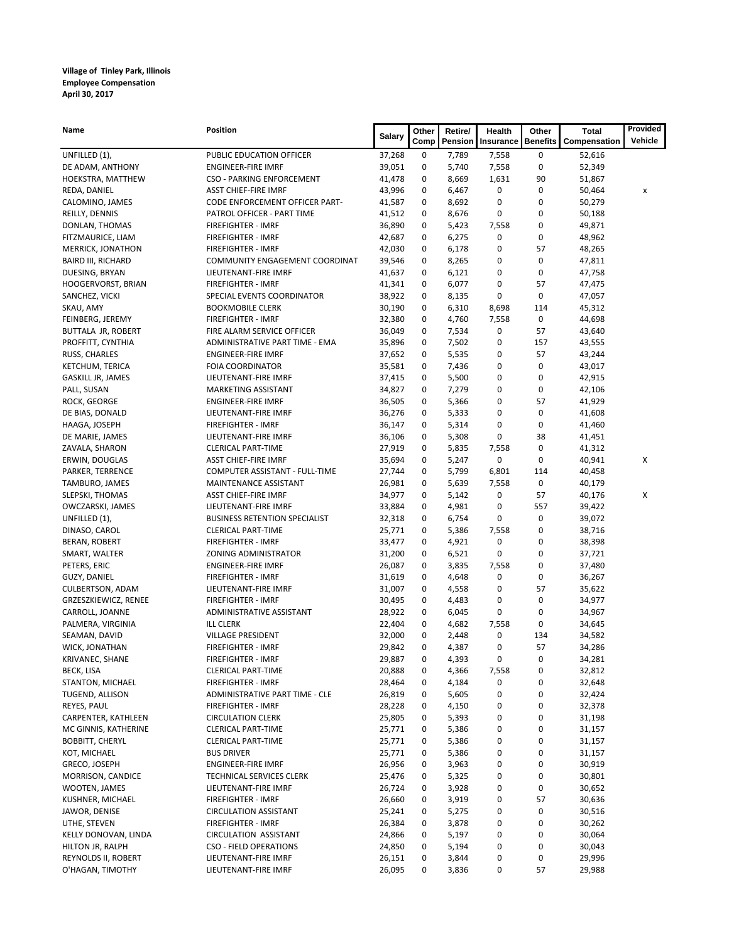| Name                                            | <b>Position</b>                                        | Salary           | Other       | Retire/        | Health    | Other            | <b>Total</b>     | Provided |
|-------------------------------------------------|--------------------------------------------------------|------------------|-------------|----------------|-----------|------------------|------------------|----------|
|                                                 |                                                        |                  | Comp        | Pension        | Insurance | <b>Benefits</b>  | Compensation     | Vehicle  |
| UNFILLED (1),                                   | PUBLIC EDUCATION OFFICER                               | 37,268           | 0           | 7,789          | 7,558     | 0                | 52,616           |          |
| DE ADAM, ANTHONY                                | <b>ENGINEER-FIRE IMRF</b>                              | 39,051           | 0           | 5,740          | 7,558     | 0                | 52,349           |          |
| HOEKSTRA, MATTHEW                               | <b>CSO - PARKING ENFORCEMENT</b>                       | 41,478           | 0           | 8,669          | 1,631     | 90               | 51,867           |          |
| REDA, DANIEL                                    | <b>ASST CHIEF-FIRE IMRF</b>                            | 43,996           | 0           | 6,467          | 0         | 0                | 50,464           | x        |
| CALOMINO, JAMES                                 | CODE ENFORCEMENT OFFICER PART-                         | 41,587           | 0           | 8,692          | 0         | 0                | 50,279           |          |
| REILLY, DENNIS                                  | PATROL OFFICER - PART TIME                             | 41,512           | 0           | 8,676          | 0         | 0                | 50,188           |          |
| DONLAN, THOMAS                                  | <b>FIREFIGHTER - IMRF</b>                              | 36,890           | 0           | 5,423          | 7,558     | 0                | 49,871           |          |
| FITZMAURICE, LIAM                               | FIREFIGHTER - IMRF                                     | 42,687           | 0           | 6,275          | 0         | 0                | 48,962           |          |
| MERRICK, JONATHON<br><b>BAIRD III, RICHARD</b>  | FIREFIGHTER - IMRF                                     | 42,030<br>39,546 | 0<br>0      | 6,178          | 0<br>0    | 57<br>0          | 48,265           |          |
| DUESING, BRYAN                                  | COMMUNITY ENGAGEMENT COORDINAT<br>LIEUTENANT-FIRE IMRF | 41,637           | 0           | 8,265<br>6,121 | 0         | 0                | 47,811<br>47,758 |          |
| HOOGERVORST, BRIAN                              | FIREFIGHTER - IMRF                                     | 41,341           | 0           | 6,077          | 0         | 57               | 47,475           |          |
| SANCHEZ, VICKI                                  | SPECIAL EVENTS COORDINATOR                             | 38,922           | 0           | 8,135          | 0         | 0                | 47,057           |          |
| SKAU, AMY                                       | <b>BOOKMOBILE CLERK</b>                                | 30,190           | 0           | 6,310          | 8,698     | 114              | 45,312           |          |
| FEINBERG, JEREMY                                | FIREFIGHTER - IMRF                                     | 32,380           | 0           | 4,760          | 7,558     | 0                | 44,698           |          |
| BUTTALA JR, ROBERT                              | FIRE ALARM SERVICE OFFICER                             | 36,049           | 0           | 7,534          | 0         | 57               | 43,640           |          |
| PROFFITT, CYNTHIA                               | ADMINISTRATIVE PART TIME - EMA                         | 35,896           | 0           | 7,502          | 0         | 157              | 43,555           |          |
| RUSS, CHARLES                                   | <b>ENGINEER-FIRE IMRF</b>                              | 37,652           | 0           | 5,535          | 0         | 57               | 43,244           |          |
| KETCHUM, TERICA                                 | <b>FOIA COORDINATOR</b>                                | 35,581           | 0           | 7,436          | 0         | 0                | 43,017           |          |
| GASKILL JR, JAMES                               | LIEUTENANT-FIRE IMRF                                   | 37,415           | 0           | 5,500          | 0         | 0                | 42,915           |          |
| PALL, SUSAN                                     | MARKETING ASSISTANT                                    | 34,827           | 0           | 7,279          | 0         | 0                | 42,106           |          |
| ROCK, GEORGE                                    | <b>ENGINEER-FIRE IMRF</b>                              | 36,505           | 0           | 5,366          | 0         | 57               | 41,929           |          |
| DE BIAS, DONALD                                 | LIEUTENANT-FIRE IMRF                                   | 36,276           | 0           | 5,333          | 0         | 0                | 41,608           |          |
| HAAGA, JOSEPH                                   | FIREFIGHTER - IMRF                                     | 36,147           | 0           | 5,314          | 0         | 0                | 41,460           |          |
| DE MARIE, JAMES                                 | LIEUTENANT-FIRE IMRF                                   | 36,106           | 0           | 5,308          | 0         | 38               | 41,451           |          |
| ZAVALA, SHARON                                  | <b>CLERICAL PART-TIME</b>                              | 27,919           | 0           | 5,835          | 7,558     | 0                | 41,312           |          |
| ERWIN, DOUGLAS                                  | <b>ASST CHIEF-FIRE IMRF</b>                            | 35,694           | 0           | 5,247          | 0         | 0                | 40,941           | х        |
| PARKER, TERRENCE                                | COMPUTER ASSISTANT - FULL-TIME                         | 27,744           | 0           | 5,799          | 6,801     | 114              | 40,458           |          |
| TAMBURO, JAMES                                  | MAINTENANCE ASSISTANT                                  | 26,981           | 0           | 5,639          | 7,558     | 0                | 40,179           |          |
| SLEPSKI, THOMAS                                 | <b>ASST CHIEF-FIRE IMRF</b>                            | 34,977           | 0           | 5,142          | 0         | 57               | 40,176           | х        |
| OWCZARSKI, JAMES                                | LIEUTENANT-FIRE IMRF                                   | 33,884           | 0           | 4,981          | 0         | 557              | 39,422           |          |
| UNFILLED (1),                                   | <b>BUSINESS RETENTION SPECIALIST</b>                   | 32,318           | 0           | 6,754          | 0         | 0                | 39,072           |          |
| DINASO, CAROL                                   | <b>CLERICAL PART-TIME</b>                              | 25,771           | 0           | 5,386          | 7,558     | 0                | 38,716           |          |
| BERAN, ROBERT                                   | FIREFIGHTER - IMRF                                     | 33,477           | 0           | 4,921          | 0         | 0                | 38,398           |          |
| SMART, WALTER                                   | ZONING ADMINISTRATOR                                   | 31,200           | 0           | 6,521          | 0         | 0                | 37,721           |          |
| PETERS, ERIC                                    | <b>ENGINEER-FIRE IMRF</b>                              | 26,087           | 0<br>0      | 3,835          | 7,558     | 0<br>$\mathbf 0$ | 37,480           |          |
| GUZY, DANIEL                                    | FIREFIGHTER - IMRF<br>LIEUTENANT-FIRE IMRF             | 31,619<br>31,007 | 0           | 4,648<br>4,558 | 0<br>0    | 57               | 36,267<br>35,622 |          |
| <b>CULBERTSON, ADAM</b><br>GRZESZKIEWICZ, RENEE | FIREFIGHTER - IMRF                                     | 30,495           | 0           | 4,483          | 0         | 0                | 34,977           |          |
| CARROLL, JOANNE                                 | ADMINISTRATIVE ASSISTANT                               | 28,922           | 0           | 6,045          | 0         | 0                | 34,967           |          |
| PALMERA, VIRGINIA                               | <b>ILL CLERK</b>                                       | 22,404           | 0           | 4,682          | 7,558     | 0                | 34,645           |          |
| SEAMAN, DAVID                                   | <b>VILLAGE PRESIDENT</b>                               | 32,000           | 0           | 2,448          | 0         | 134              | 34,582           |          |
| WICK, JONATHAN                                  | <b>FIREFIGHTER - IMRF</b>                              | 29,842           | 0           | 4,387          | 0         | 57               | 34,286           |          |
| KRIVANEC, SHANE                                 | FIREFIGHTER - IMRF                                     | 29,887           | $\mathbf 0$ | 4,393          | 0         | 0                | 34,281           |          |
| BECK, LISA                                      | <b>CLERICAL PART-TIME</b>                              | 20,888           | 0           | 4,366          | 7,558     | 0                | 32,812           |          |
| STANTON, MICHAEL                                | FIREFIGHTER - IMRF                                     | 28,464           | 0           | 4,184          | 0         | 0                | 32,648           |          |
| TUGEND, ALLISON                                 | ADMINISTRATIVE PART TIME - CLE                         | 26,819           | 0           | 5,605          | 0         | 0                | 32,424           |          |
| REYES, PAUL                                     | FIREFIGHTER - IMRF                                     | 28,228           | 0           | 4,150          | 0         | 0                | 32,378           |          |
| CARPENTER, KATHLEEN                             | <b>CIRCULATION CLERK</b>                               | 25,805           | 0           | 5,393          | 0         | 0                | 31,198           |          |
| MC GINNIS, KATHERINE                            | <b>CLERICAL PART-TIME</b>                              | 25,771           | 0           | 5,386          | 0         | 0                | 31,157           |          |
| <b>BOBBITT, CHERYL</b>                          | <b>CLERICAL PART-TIME</b>                              | 25,771           | 0           | 5,386          | 0         | 0                | 31,157           |          |
| KOT, MICHAEL                                    | <b>BUS DRIVER</b>                                      | 25,771           | 0           | 5,386          | 0         | 0                | 31,157           |          |
| GRECO, JOSEPH                                   | ENGINEER-FIRE IMRF                                     | 26,956           | 0           | 3,963          | 0         | 0                | 30,919           |          |
| MORRISON, CANDICE                               | TECHNICAL SERVICES CLERK                               | 25,476           | 0           | 5,325          | 0         | 0                | 30,801           |          |
| WOOTEN, JAMES                                   | LIEUTENANT-FIRE IMRF                                   | 26,724           | 0           | 3,928          | 0         | 0                | 30,652           |          |
| KUSHNER, MICHAEL                                | <b>FIREFIGHTER - IMRF</b>                              | 26,660           | 0           | 3,919          | 0         | 57               | 30,636           |          |
| JAWOR, DENISE                                   | <b>CIRCULATION ASSISTANT</b>                           | 25,241           | 0           | 5,275          | 0         | 0                | 30,516           |          |
| UTHE, STEVEN                                    | FIREFIGHTER - IMRF                                     | 26,384           | 0           | 3,878          | 0         | 0                | 30,262           |          |
| KELLY DONOVAN, LINDA                            | <b>CIRCULATION ASSISTANT</b>                           | 24,866           | 0           | 5,197          | 0         | 0                | 30,064           |          |
| HILTON JR, RALPH                                | <b>CSO - FIELD OPERATIONS</b>                          | 24,850           | 0           | 5,194          | 0         | 0                | 30,043           |          |
| REYNOLDS II, ROBERT                             | LIEUTENANT-FIRE IMRF                                   | 26,151           | 0           | 3,844          | 0         | 0                | 29,996           |          |
| O'HAGAN, TIMOTHY                                | LIEUTENANT-FIRE IMRF                                   | 26,095           | 0           | 3,836          | 0         | 57               | 29,988           |          |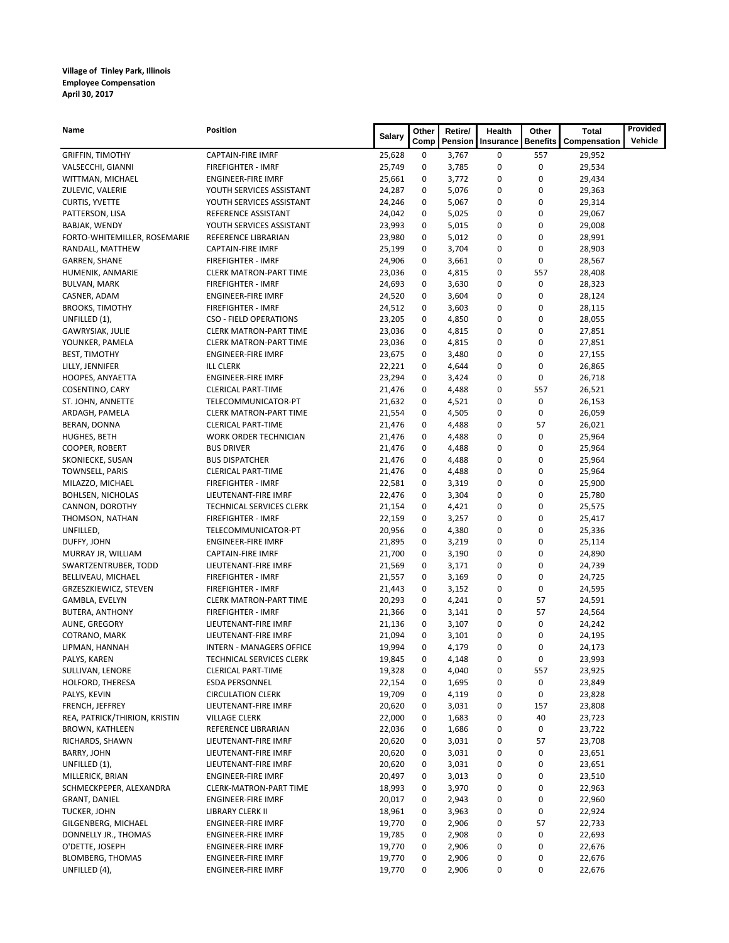| Vehicle<br>Comp<br>Pension<br><b>Benefits</b><br>Compensation<br>Insurance<br><b>GRIFFIN, TIMOTHY</b><br><b>CAPTAIN-FIRE IMRF</b><br>25,628<br>0<br>3,767<br>0<br>557<br>29,952<br>0<br>0<br>3,785<br>0<br>29,534<br>VALSECCHI, GIANNI<br><b>FIREFIGHTER - IMRF</b><br>25,749<br>0<br>0<br>0<br>WITTMAN, MICHAEL<br>25,661<br>3,772<br>29,434<br><b>ENGINEER-FIRE IMRF</b><br>0<br>0<br>0<br>ZULEVIC, VALERIE<br>YOUTH SERVICES ASSISTANT<br>24,287<br>5,076<br>29,363<br>0<br>0<br>5,067<br>0<br>CURTIS, YVETTE<br>YOUTH SERVICES ASSISTANT<br>24,246<br>29,314<br>0<br>24,042<br>0<br>5,025<br>0<br>29,067<br>PATTERSON, LISA<br>REFERENCE ASSISTANT<br>0<br>YOUTH SERVICES ASSISTANT<br>23,993<br>0<br>5,015<br>0<br>29,008<br>BABJAK, WENDY<br>0<br>REFERENCE LIBRARIAN<br>0<br>5,012<br>0<br>FORTO-WHITEMILLER, ROSEMARIE<br>23,980<br>28,991<br>$\mathbf 0$<br>0<br>3,704<br>0<br>RANDALL, MATTHEW<br><b>CAPTAIN-FIRE IMRF</b><br>25,199<br>28,903<br>$\mathbf 0$<br><b>FIREFIGHTER - IMRF</b><br>24,906<br>0<br>0<br>28,567<br>GARREN, SHANE<br>3,661<br>0<br>4,815<br>0<br>557<br>HUMENIK, ANMARIE<br><b>CLERK MATRON-PART TIME</b><br>23,036<br>28,408<br>0<br>24,693<br>0<br>3,630<br>0<br><b>BULVAN, MARK</b><br><b>FIREFIGHTER - IMRF</b><br>28,323<br>0<br>0<br>0<br>CASNER, ADAM<br><b>ENGINEER-FIRE IMRF</b><br>24,520<br>3,604<br>28,124<br>0<br>0<br>0<br><b>BROOKS, TIMOTHY</b><br><b>FIREFIGHTER - IMRF</b><br>24,512<br>3,603<br>28,115<br>0<br>23,205<br>0<br>0<br>28,055<br>UNFILLED (1),<br><b>CSO - FIELD OPERATIONS</b><br>4,850<br>0<br>0<br>0<br>GAWRYSIAK, JULIE<br><b>CLERK MATRON-PART TIME</b><br>23,036<br>4,815<br>27,851<br>0<br>23,036<br>0<br>4,815<br>0<br>27,851<br>YOUNKER, PAMELA<br><b>CLERK MATRON-PART TIME</b><br>0<br>0<br>23,675<br>0<br>3,480<br>27,155<br><b>BEST, TIMOTHY</b><br><b>ENGINEER-FIRE IMRF</b><br>0<br>0<br>0<br>LILLY, JENNIFER<br><b>ILL CLERK</b><br>22,221<br>4,644<br>26,865<br>$\mathbf 0$<br>23,294<br>0<br>0<br>HOOPES, ANYAETTA<br><b>ENGINEER-FIRE IMRF</b><br>3,424<br>26,718<br>557<br>21,476<br>0<br>4,488<br>0<br>26,521<br>COSENTINO, CARY<br><b>CLERICAL PART-TIME</b><br>0<br>TELECOMMUNICATOR-PT<br>21,632<br>0<br>4,521<br>0<br>26,153<br>ST. JOHN, ANNETTE<br>0<br>0<br>0<br>26,059<br>ARDAGH, PAMELA<br><b>CLERK MATRON-PART TIME</b><br>21,554<br>4,505<br>0<br>4,488<br>0<br>57<br>26,021<br>BERAN, DONNA<br><b>CLERICAL PART-TIME</b><br>21,476<br>$\mathbf 0$<br>0<br>0<br>HUGHES, BETH<br><b>WORK ORDER TECHNICIAN</b><br>21,476<br>4,488<br>25,964<br>0<br>0<br>4,488<br>0<br>25,964<br>COOPER, ROBERT<br><b>BUS DRIVER</b><br>21,476<br>0<br>0<br>0<br>SKONIECKE, SUSAN<br><b>BUS DISPATCHER</b><br>21,476<br>4,488<br>25,964<br>0<br><b>TOWNSELL, PARIS</b><br>0<br>4,488<br>0<br>25,964<br><b>CLERICAL PART-TIME</b><br>21,476<br>0<br>FIREFIGHTER - IMRF<br>22,581<br>0<br>3,319<br>0<br>25,900<br>MILAZZO, MICHAEL<br>0<br>0<br><b>BOHLSEN, NICHOLAS</b><br>LIEUTENANT-FIRE IMRF<br>22,476<br>0<br>3,304<br>25,780<br>0<br>0<br>4,421<br>0<br>CANNON, DOROTHY<br>TECHNICAL SERVICES CLERK<br>21,154<br>25,575<br>0<br>FIREFIGHTER - IMRF<br>22,159<br>0<br>3,257<br>0<br>25,417<br>THOMSON, NATHAN<br>0<br>20,956<br>0<br>4,380<br>0<br>UNFILLED,<br>TELECOMMUNICATOR-PT<br>25,336<br>0<br>0<br>3,219<br>0<br>DUFFY, JOHN<br><b>ENGINEER-FIRE IMRF</b><br>21,895<br>25,114<br>0<br>0<br>0<br><b>CAPTAIN-FIRE IMRF</b><br>21,700<br>3,190<br>24,890<br>MURRAY JR, WILLIAM<br>0<br>0<br>0<br>SWARTZENTRUBER, TODD<br>LIEUTENANT-FIRE IMRF<br>21,569<br>3,171<br>24,739<br>$\mathbf 0$<br>0<br>0<br>BELLIVEAU, MICHAEL<br>FIREFIGHTER - IMRF<br>21,557<br>3,169<br>24,725<br>0<br>0<br>0<br>GRZESZKIEWICZ, STEVEN<br><b>FIREFIGHTER - IMRF</b><br>21,443<br>3,152<br>24,595<br>0<br>0<br>57<br>GAMBLA, EVELYN<br><b>CLERK MATRON-PART TIME</b><br>20,293<br>4,241<br>24,591<br>57<br>0<br>0<br>24,564<br>BUTERA, ANTHONY<br><b>FIREFIGHTER - IMRF</b><br>21,366<br>3,141<br>0<br>0<br>AUNE, GREGORY<br>LIEUTENANT-FIRE IMRF<br>21,136<br>0<br>3,107<br>24,242<br>$\bf{0}$<br>0<br>0<br>COTRANO, MARK<br>LIEUTENANT-FIRE IMRF<br>21,094<br>3,101<br>24,195<br>0<br>0<br>0<br>19,994<br>4,179<br>24,173<br>LIPMAN, HANNAH<br><b>INTERN - MANAGERS OFFICE</b><br>PALYS, KAREN<br>TECHNICAL SERVICES CLERK<br>19,845<br>0<br>4,148<br>0<br>0<br>23,993<br>SULLIVAN, LENORE<br>19,328<br>0<br>4,040<br>0<br>557<br>23,925<br><b>CLERICAL PART-TIME</b><br>HOLFORD, THERESA<br><b>ESDA PERSONNEL</b><br>22,154<br>0<br>0<br>23,849<br>0<br>1,695<br>PALYS, KEVIN<br>19,709<br>0<br>4,119<br>0<br>0<br><b>CIRCULATION CLERK</b><br>23,828<br>20,620<br>0<br>157<br>FRENCH, JEFFREY<br>LIEUTENANT-FIRE IMRF<br>0<br>3,031<br>23,808<br>REA, PATRICK/THIRION, KRISTIN<br>22,000<br>0<br>40<br><b>VILLAGE CLERK</b><br>0<br>1,683<br>23,723<br>BROWN, KATHLEEN<br>22,036<br>0<br>0<br>REFERENCE LIBRARIAN<br>0<br>1,686<br>23,722<br>20,620<br>0<br>57<br>RICHARDS, SHAWN<br>LIEUTENANT-FIRE IMRF<br>0<br>3,031<br>23,708<br>BARRY, JOHN<br>20,620<br>0<br>3,031<br>0<br>0<br>LIEUTENANT-FIRE IMRF<br>23,651<br>UNFILLED (1),<br>20,620<br>0<br>3,031<br>0<br>0<br>23,651<br>LIEUTENANT-FIRE IMRF<br>0<br>MILLERICK, BRIAN<br>20,497<br>0<br>3,013<br>0<br>23,510<br><b>ENGINEER-FIRE IMRF</b><br>SCHMECKPEPER, ALEXANDRA<br>0<br>0<br>CLERK-MATRON-PART TIME<br>18,993<br>0<br>3,970<br>22,963<br>0<br>GRANT, DANIEL<br>20,017<br>0<br>0<br>22,960<br><b>ENGINEER-FIRE IMRF</b><br>2,943<br>0<br><b>TUCKER, JOHN</b><br>18,961<br>0<br>0<br>22,924<br>LIBRARY CLERK II<br>3,963<br>0<br>0<br>57<br>GILGENBERG, MICHAEL<br><b>ENGINEER-FIRE IMRF</b><br>19,770<br>2,906<br>22,733<br>0<br>0<br>0<br>DONNELLY JR., THOMAS<br><b>ENGINEER-FIRE IMRF</b><br>19,785<br>2,908<br>22,693<br>O'DETTE, JOSEPH<br>19,770<br>0<br>0<br><b>ENGINEER-FIRE IMRF</b><br>0<br>2,906<br>22,676<br><b>BLOMBERG, THOMAS</b><br>0<br>0<br>0<br><b>ENGINEER-FIRE IMRF</b><br>19,770<br>2,906<br>22,676<br>0<br><b>ENGINEER-FIRE IMRF</b><br>0 | Name          | <b>Position</b> | <b>Salary</b> | Other | Retire/ | Health | Other | Total  | Provided |
|-----------------------------------------------------------------------------------------------------------------------------------------------------------------------------------------------------------------------------------------------------------------------------------------------------------------------------------------------------------------------------------------------------------------------------------------------------------------------------------------------------------------------------------------------------------------------------------------------------------------------------------------------------------------------------------------------------------------------------------------------------------------------------------------------------------------------------------------------------------------------------------------------------------------------------------------------------------------------------------------------------------------------------------------------------------------------------------------------------------------------------------------------------------------------------------------------------------------------------------------------------------------------------------------------------------------------------------------------------------------------------------------------------------------------------------------------------------------------------------------------------------------------------------------------------------------------------------------------------------------------------------------------------------------------------------------------------------------------------------------------------------------------------------------------------------------------------------------------------------------------------------------------------------------------------------------------------------------------------------------------------------------------------------------------------------------------------------------------------------------------------------------------------------------------------------------------------------------------------------------------------------------------------------------------------------------------------------------------------------------------------------------------------------------------------------------------------------------------------------------------------------------------------------------------------------------------------------------------------------------------------------------------------------------------------------------------------------------------------------------------------------------------------------------------------------------------------------------------------------------------------------------------------------------------------------------------------------------------------------------------------------------------------------------------------------------------------------------------------------------------------------------------------------------------------------------------------------------------------------------------------------------------------------------------------------------------------------------------------------------------------------------------------------------------------------------------------------------------------------------------------------------------------------------------------------------------------------------------------------------------------------------------------------------------------------------------------------------------------------------------------------------------------------------------------------------------------------------------------------------------------------------------------------------------------------------------------------------------------------------------------------------------------------------------------------------------------------------------------------------------------------------------------------------------------------------------------------------------------------------------------------------------------------------------------------------------------------------------------------------------------------------------------------------------------------------------------------------------------------------------------------------------------------------------------------------------------------------------------------------------------------------------------------------------------------------------------------------------------------------------------------------------------------------------------------------------------------------------------------------------------------------------------------------------------------------------------------------------------------------------------------------------------------------------------------------------------------------------------------------------------------------------------------------------------------------------------------------------------------------------------------------------------------------------------------------------------------------------------------------------------------------------------------------------------------------------------------------------------------------------------------------------------------------------------------------------------------------------------------------------------------------------------------------------------------------------------------------------------------------------------------------------------------------------------------------------------------------------------------------------------------------------------------------------------------------------------------------------------------------------------------|---------------|-----------------|---------------|-------|---------|--------|-------|--------|----------|
|                                                                                                                                                                                                                                                                                                                                                                                                                                                                                                                                                                                                                                                                                                                                                                                                                                                                                                                                                                                                                                                                                                                                                                                                                                                                                                                                                                                                                                                                                                                                                                                                                                                                                                                                                                                                                                                                                                                                                                                                                                                                                                                                                                                                                                                                                                                                                                                                                                                                                                                                                                                                                                                                                                                                                                                                                                                                                                                                                                                                                                                                                                                                                                                                                                                                                                                                                                                                                                                                                                                                                                                                                                                                                                                                                                                                                                                                                                                                                                                                                                                                                                                                                                                                                                                                                                                                                                                                                                                                                                                                                                                                                                                                                                                                                                                                                                                                                                                                                                                                                                                                                                                                                                                                                                                                                                                                                                                                                                                                                                                                                                                                                                                                                                                                                                                                                                                                                                                                                                                                           |               |                 |               |       |         |        |       |        |          |
|                                                                                                                                                                                                                                                                                                                                                                                                                                                                                                                                                                                                                                                                                                                                                                                                                                                                                                                                                                                                                                                                                                                                                                                                                                                                                                                                                                                                                                                                                                                                                                                                                                                                                                                                                                                                                                                                                                                                                                                                                                                                                                                                                                                                                                                                                                                                                                                                                                                                                                                                                                                                                                                                                                                                                                                                                                                                                                                                                                                                                                                                                                                                                                                                                                                                                                                                                                                                                                                                                                                                                                                                                                                                                                                                                                                                                                                                                                                                                                                                                                                                                                                                                                                                                                                                                                                                                                                                                                                                                                                                                                                                                                                                                                                                                                                                                                                                                                                                                                                                                                                                                                                                                                                                                                                                                                                                                                                                                                                                                                                                                                                                                                                                                                                                                                                                                                                                                                                                                                                                           |               |                 |               |       |         |        |       |        |          |
|                                                                                                                                                                                                                                                                                                                                                                                                                                                                                                                                                                                                                                                                                                                                                                                                                                                                                                                                                                                                                                                                                                                                                                                                                                                                                                                                                                                                                                                                                                                                                                                                                                                                                                                                                                                                                                                                                                                                                                                                                                                                                                                                                                                                                                                                                                                                                                                                                                                                                                                                                                                                                                                                                                                                                                                                                                                                                                                                                                                                                                                                                                                                                                                                                                                                                                                                                                                                                                                                                                                                                                                                                                                                                                                                                                                                                                                                                                                                                                                                                                                                                                                                                                                                                                                                                                                                                                                                                                                                                                                                                                                                                                                                                                                                                                                                                                                                                                                                                                                                                                                                                                                                                                                                                                                                                                                                                                                                                                                                                                                                                                                                                                                                                                                                                                                                                                                                                                                                                                                                           |               |                 |               |       |         |        |       |        |          |
|                                                                                                                                                                                                                                                                                                                                                                                                                                                                                                                                                                                                                                                                                                                                                                                                                                                                                                                                                                                                                                                                                                                                                                                                                                                                                                                                                                                                                                                                                                                                                                                                                                                                                                                                                                                                                                                                                                                                                                                                                                                                                                                                                                                                                                                                                                                                                                                                                                                                                                                                                                                                                                                                                                                                                                                                                                                                                                                                                                                                                                                                                                                                                                                                                                                                                                                                                                                                                                                                                                                                                                                                                                                                                                                                                                                                                                                                                                                                                                                                                                                                                                                                                                                                                                                                                                                                                                                                                                                                                                                                                                                                                                                                                                                                                                                                                                                                                                                                                                                                                                                                                                                                                                                                                                                                                                                                                                                                                                                                                                                                                                                                                                                                                                                                                                                                                                                                                                                                                                                                           |               |                 |               |       |         |        |       |        |          |
|                                                                                                                                                                                                                                                                                                                                                                                                                                                                                                                                                                                                                                                                                                                                                                                                                                                                                                                                                                                                                                                                                                                                                                                                                                                                                                                                                                                                                                                                                                                                                                                                                                                                                                                                                                                                                                                                                                                                                                                                                                                                                                                                                                                                                                                                                                                                                                                                                                                                                                                                                                                                                                                                                                                                                                                                                                                                                                                                                                                                                                                                                                                                                                                                                                                                                                                                                                                                                                                                                                                                                                                                                                                                                                                                                                                                                                                                                                                                                                                                                                                                                                                                                                                                                                                                                                                                                                                                                                                                                                                                                                                                                                                                                                                                                                                                                                                                                                                                                                                                                                                                                                                                                                                                                                                                                                                                                                                                                                                                                                                                                                                                                                                                                                                                                                                                                                                                                                                                                                                                           |               |                 |               |       |         |        |       |        |          |
|                                                                                                                                                                                                                                                                                                                                                                                                                                                                                                                                                                                                                                                                                                                                                                                                                                                                                                                                                                                                                                                                                                                                                                                                                                                                                                                                                                                                                                                                                                                                                                                                                                                                                                                                                                                                                                                                                                                                                                                                                                                                                                                                                                                                                                                                                                                                                                                                                                                                                                                                                                                                                                                                                                                                                                                                                                                                                                                                                                                                                                                                                                                                                                                                                                                                                                                                                                                                                                                                                                                                                                                                                                                                                                                                                                                                                                                                                                                                                                                                                                                                                                                                                                                                                                                                                                                                                                                                                                                                                                                                                                                                                                                                                                                                                                                                                                                                                                                                                                                                                                                                                                                                                                                                                                                                                                                                                                                                                                                                                                                                                                                                                                                                                                                                                                                                                                                                                                                                                                                                           |               |                 |               |       |         |        |       |        |          |
|                                                                                                                                                                                                                                                                                                                                                                                                                                                                                                                                                                                                                                                                                                                                                                                                                                                                                                                                                                                                                                                                                                                                                                                                                                                                                                                                                                                                                                                                                                                                                                                                                                                                                                                                                                                                                                                                                                                                                                                                                                                                                                                                                                                                                                                                                                                                                                                                                                                                                                                                                                                                                                                                                                                                                                                                                                                                                                                                                                                                                                                                                                                                                                                                                                                                                                                                                                                                                                                                                                                                                                                                                                                                                                                                                                                                                                                                                                                                                                                                                                                                                                                                                                                                                                                                                                                                                                                                                                                                                                                                                                                                                                                                                                                                                                                                                                                                                                                                                                                                                                                                                                                                                                                                                                                                                                                                                                                                                                                                                                                                                                                                                                                                                                                                                                                                                                                                                                                                                                                                           |               |                 |               |       |         |        |       |        |          |
|                                                                                                                                                                                                                                                                                                                                                                                                                                                                                                                                                                                                                                                                                                                                                                                                                                                                                                                                                                                                                                                                                                                                                                                                                                                                                                                                                                                                                                                                                                                                                                                                                                                                                                                                                                                                                                                                                                                                                                                                                                                                                                                                                                                                                                                                                                                                                                                                                                                                                                                                                                                                                                                                                                                                                                                                                                                                                                                                                                                                                                                                                                                                                                                                                                                                                                                                                                                                                                                                                                                                                                                                                                                                                                                                                                                                                                                                                                                                                                                                                                                                                                                                                                                                                                                                                                                                                                                                                                                                                                                                                                                                                                                                                                                                                                                                                                                                                                                                                                                                                                                                                                                                                                                                                                                                                                                                                                                                                                                                                                                                                                                                                                                                                                                                                                                                                                                                                                                                                                                                           |               |                 |               |       |         |        |       |        |          |
|                                                                                                                                                                                                                                                                                                                                                                                                                                                                                                                                                                                                                                                                                                                                                                                                                                                                                                                                                                                                                                                                                                                                                                                                                                                                                                                                                                                                                                                                                                                                                                                                                                                                                                                                                                                                                                                                                                                                                                                                                                                                                                                                                                                                                                                                                                                                                                                                                                                                                                                                                                                                                                                                                                                                                                                                                                                                                                                                                                                                                                                                                                                                                                                                                                                                                                                                                                                                                                                                                                                                                                                                                                                                                                                                                                                                                                                                                                                                                                                                                                                                                                                                                                                                                                                                                                                                                                                                                                                                                                                                                                                                                                                                                                                                                                                                                                                                                                                                                                                                                                                                                                                                                                                                                                                                                                                                                                                                                                                                                                                                                                                                                                                                                                                                                                                                                                                                                                                                                                                                           |               |                 |               |       |         |        |       |        |          |
|                                                                                                                                                                                                                                                                                                                                                                                                                                                                                                                                                                                                                                                                                                                                                                                                                                                                                                                                                                                                                                                                                                                                                                                                                                                                                                                                                                                                                                                                                                                                                                                                                                                                                                                                                                                                                                                                                                                                                                                                                                                                                                                                                                                                                                                                                                                                                                                                                                                                                                                                                                                                                                                                                                                                                                                                                                                                                                                                                                                                                                                                                                                                                                                                                                                                                                                                                                                                                                                                                                                                                                                                                                                                                                                                                                                                                                                                                                                                                                                                                                                                                                                                                                                                                                                                                                                                                                                                                                                                                                                                                                                                                                                                                                                                                                                                                                                                                                                                                                                                                                                                                                                                                                                                                                                                                                                                                                                                                                                                                                                                                                                                                                                                                                                                                                                                                                                                                                                                                                                                           |               |                 |               |       |         |        |       |        |          |
|                                                                                                                                                                                                                                                                                                                                                                                                                                                                                                                                                                                                                                                                                                                                                                                                                                                                                                                                                                                                                                                                                                                                                                                                                                                                                                                                                                                                                                                                                                                                                                                                                                                                                                                                                                                                                                                                                                                                                                                                                                                                                                                                                                                                                                                                                                                                                                                                                                                                                                                                                                                                                                                                                                                                                                                                                                                                                                                                                                                                                                                                                                                                                                                                                                                                                                                                                                                                                                                                                                                                                                                                                                                                                                                                                                                                                                                                                                                                                                                                                                                                                                                                                                                                                                                                                                                                                                                                                                                                                                                                                                                                                                                                                                                                                                                                                                                                                                                                                                                                                                                                                                                                                                                                                                                                                                                                                                                                                                                                                                                                                                                                                                                                                                                                                                                                                                                                                                                                                                                                           |               |                 |               |       |         |        |       |        |          |
|                                                                                                                                                                                                                                                                                                                                                                                                                                                                                                                                                                                                                                                                                                                                                                                                                                                                                                                                                                                                                                                                                                                                                                                                                                                                                                                                                                                                                                                                                                                                                                                                                                                                                                                                                                                                                                                                                                                                                                                                                                                                                                                                                                                                                                                                                                                                                                                                                                                                                                                                                                                                                                                                                                                                                                                                                                                                                                                                                                                                                                                                                                                                                                                                                                                                                                                                                                                                                                                                                                                                                                                                                                                                                                                                                                                                                                                                                                                                                                                                                                                                                                                                                                                                                                                                                                                                                                                                                                                                                                                                                                                                                                                                                                                                                                                                                                                                                                                                                                                                                                                                                                                                                                                                                                                                                                                                                                                                                                                                                                                                                                                                                                                                                                                                                                                                                                                                                                                                                                                                           |               |                 |               |       |         |        |       |        |          |
|                                                                                                                                                                                                                                                                                                                                                                                                                                                                                                                                                                                                                                                                                                                                                                                                                                                                                                                                                                                                                                                                                                                                                                                                                                                                                                                                                                                                                                                                                                                                                                                                                                                                                                                                                                                                                                                                                                                                                                                                                                                                                                                                                                                                                                                                                                                                                                                                                                                                                                                                                                                                                                                                                                                                                                                                                                                                                                                                                                                                                                                                                                                                                                                                                                                                                                                                                                                                                                                                                                                                                                                                                                                                                                                                                                                                                                                                                                                                                                                                                                                                                                                                                                                                                                                                                                                                                                                                                                                                                                                                                                                                                                                                                                                                                                                                                                                                                                                                                                                                                                                                                                                                                                                                                                                                                                                                                                                                                                                                                                                                                                                                                                                                                                                                                                                                                                                                                                                                                                                                           |               |                 |               |       |         |        |       |        |          |
|                                                                                                                                                                                                                                                                                                                                                                                                                                                                                                                                                                                                                                                                                                                                                                                                                                                                                                                                                                                                                                                                                                                                                                                                                                                                                                                                                                                                                                                                                                                                                                                                                                                                                                                                                                                                                                                                                                                                                                                                                                                                                                                                                                                                                                                                                                                                                                                                                                                                                                                                                                                                                                                                                                                                                                                                                                                                                                                                                                                                                                                                                                                                                                                                                                                                                                                                                                                                                                                                                                                                                                                                                                                                                                                                                                                                                                                                                                                                                                                                                                                                                                                                                                                                                                                                                                                                                                                                                                                                                                                                                                                                                                                                                                                                                                                                                                                                                                                                                                                                                                                                                                                                                                                                                                                                                                                                                                                                                                                                                                                                                                                                                                                                                                                                                                                                                                                                                                                                                                                                           |               |                 |               |       |         |        |       |        |          |
|                                                                                                                                                                                                                                                                                                                                                                                                                                                                                                                                                                                                                                                                                                                                                                                                                                                                                                                                                                                                                                                                                                                                                                                                                                                                                                                                                                                                                                                                                                                                                                                                                                                                                                                                                                                                                                                                                                                                                                                                                                                                                                                                                                                                                                                                                                                                                                                                                                                                                                                                                                                                                                                                                                                                                                                                                                                                                                                                                                                                                                                                                                                                                                                                                                                                                                                                                                                                                                                                                                                                                                                                                                                                                                                                                                                                                                                                                                                                                                                                                                                                                                                                                                                                                                                                                                                                                                                                                                                                                                                                                                                                                                                                                                                                                                                                                                                                                                                                                                                                                                                                                                                                                                                                                                                                                                                                                                                                                                                                                                                                                                                                                                                                                                                                                                                                                                                                                                                                                                                                           |               |                 |               |       |         |        |       |        |          |
|                                                                                                                                                                                                                                                                                                                                                                                                                                                                                                                                                                                                                                                                                                                                                                                                                                                                                                                                                                                                                                                                                                                                                                                                                                                                                                                                                                                                                                                                                                                                                                                                                                                                                                                                                                                                                                                                                                                                                                                                                                                                                                                                                                                                                                                                                                                                                                                                                                                                                                                                                                                                                                                                                                                                                                                                                                                                                                                                                                                                                                                                                                                                                                                                                                                                                                                                                                                                                                                                                                                                                                                                                                                                                                                                                                                                                                                                                                                                                                                                                                                                                                                                                                                                                                                                                                                                                                                                                                                                                                                                                                                                                                                                                                                                                                                                                                                                                                                                                                                                                                                                                                                                                                                                                                                                                                                                                                                                                                                                                                                                                                                                                                                                                                                                                                                                                                                                                                                                                                                                           |               |                 |               |       |         |        |       |        |          |
|                                                                                                                                                                                                                                                                                                                                                                                                                                                                                                                                                                                                                                                                                                                                                                                                                                                                                                                                                                                                                                                                                                                                                                                                                                                                                                                                                                                                                                                                                                                                                                                                                                                                                                                                                                                                                                                                                                                                                                                                                                                                                                                                                                                                                                                                                                                                                                                                                                                                                                                                                                                                                                                                                                                                                                                                                                                                                                                                                                                                                                                                                                                                                                                                                                                                                                                                                                                                                                                                                                                                                                                                                                                                                                                                                                                                                                                                                                                                                                                                                                                                                                                                                                                                                                                                                                                                                                                                                                                                                                                                                                                                                                                                                                                                                                                                                                                                                                                                                                                                                                                                                                                                                                                                                                                                                                                                                                                                                                                                                                                                                                                                                                                                                                                                                                                                                                                                                                                                                                                                           |               |                 |               |       |         |        |       |        |          |
|                                                                                                                                                                                                                                                                                                                                                                                                                                                                                                                                                                                                                                                                                                                                                                                                                                                                                                                                                                                                                                                                                                                                                                                                                                                                                                                                                                                                                                                                                                                                                                                                                                                                                                                                                                                                                                                                                                                                                                                                                                                                                                                                                                                                                                                                                                                                                                                                                                                                                                                                                                                                                                                                                                                                                                                                                                                                                                                                                                                                                                                                                                                                                                                                                                                                                                                                                                                                                                                                                                                                                                                                                                                                                                                                                                                                                                                                                                                                                                                                                                                                                                                                                                                                                                                                                                                                                                                                                                                                                                                                                                                                                                                                                                                                                                                                                                                                                                                                                                                                                                                                                                                                                                                                                                                                                                                                                                                                                                                                                                                                                                                                                                                                                                                                                                                                                                                                                                                                                                                                           |               |                 |               |       |         |        |       |        |          |
|                                                                                                                                                                                                                                                                                                                                                                                                                                                                                                                                                                                                                                                                                                                                                                                                                                                                                                                                                                                                                                                                                                                                                                                                                                                                                                                                                                                                                                                                                                                                                                                                                                                                                                                                                                                                                                                                                                                                                                                                                                                                                                                                                                                                                                                                                                                                                                                                                                                                                                                                                                                                                                                                                                                                                                                                                                                                                                                                                                                                                                                                                                                                                                                                                                                                                                                                                                                                                                                                                                                                                                                                                                                                                                                                                                                                                                                                                                                                                                                                                                                                                                                                                                                                                                                                                                                                                                                                                                                                                                                                                                                                                                                                                                                                                                                                                                                                                                                                                                                                                                                                                                                                                                                                                                                                                                                                                                                                                                                                                                                                                                                                                                                                                                                                                                                                                                                                                                                                                                                                           |               |                 |               |       |         |        |       |        |          |
|                                                                                                                                                                                                                                                                                                                                                                                                                                                                                                                                                                                                                                                                                                                                                                                                                                                                                                                                                                                                                                                                                                                                                                                                                                                                                                                                                                                                                                                                                                                                                                                                                                                                                                                                                                                                                                                                                                                                                                                                                                                                                                                                                                                                                                                                                                                                                                                                                                                                                                                                                                                                                                                                                                                                                                                                                                                                                                                                                                                                                                                                                                                                                                                                                                                                                                                                                                                                                                                                                                                                                                                                                                                                                                                                                                                                                                                                                                                                                                                                                                                                                                                                                                                                                                                                                                                                                                                                                                                                                                                                                                                                                                                                                                                                                                                                                                                                                                                                                                                                                                                                                                                                                                                                                                                                                                                                                                                                                                                                                                                                                                                                                                                                                                                                                                                                                                                                                                                                                                                                           |               |                 |               |       |         |        |       |        |          |
|                                                                                                                                                                                                                                                                                                                                                                                                                                                                                                                                                                                                                                                                                                                                                                                                                                                                                                                                                                                                                                                                                                                                                                                                                                                                                                                                                                                                                                                                                                                                                                                                                                                                                                                                                                                                                                                                                                                                                                                                                                                                                                                                                                                                                                                                                                                                                                                                                                                                                                                                                                                                                                                                                                                                                                                                                                                                                                                                                                                                                                                                                                                                                                                                                                                                                                                                                                                                                                                                                                                                                                                                                                                                                                                                                                                                                                                                                                                                                                                                                                                                                                                                                                                                                                                                                                                                                                                                                                                                                                                                                                                                                                                                                                                                                                                                                                                                                                                                                                                                                                                                                                                                                                                                                                                                                                                                                                                                                                                                                                                                                                                                                                                                                                                                                                                                                                                                                                                                                                                                           |               |                 |               |       |         |        |       |        |          |
|                                                                                                                                                                                                                                                                                                                                                                                                                                                                                                                                                                                                                                                                                                                                                                                                                                                                                                                                                                                                                                                                                                                                                                                                                                                                                                                                                                                                                                                                                                                                                                                                                                                                                                                                                                                                                                                                                                                                                                                                                                                                                                                                                                                                                                                                                                                                                                                                                                                                                                                                                                                                                                                                                                                                                                                                                                                                                                                                                                                                                                                                                                                                                                                                                                                                                                                                                                                                                                                                                                                                                                                                                                                                                                                                                                                                                                                                                                                                                                                                                                                                                                                                                                                                                                                                                                                                                                                                                                                                                                                                                                                                                                                                                                                                                                                                                                                                                                                                                                                                                                                                                                                                                                                                                                                                                                                                                                                                                                                                                                                                                                                                                                                                                                                                                                                                                                                                                                                                                                                                           |               |                 |               |       |         |        |       |        |          |
|                                                                                                                                                                                                                                                                                                                                                                                                                                                                                                                                                                                                                                                                                                                                                                                                                                                                                                                                                                                                                                                                                                                                                                                                                                                                                                                                                                                                                                                                                                                                                                                                                                                                                                                                                                                                                                                                                                                                                                                                                                                                                                                                                                                                                                                                                                                                                                                                                                                                                                                                                                                                                                                                                                                                                                                                                                                                                                                                                                                                                                                                                                                                                                                                                                                                                                                                                                                                                                                                                                                                                                                                                                                                                                                                                                                                                                                                                                                                                                                                                                                                                                                                                                                                                                                                                                                                                                                                                                                                                                                                                                                                                                                                                                                                                                                                                                                                                                                                                                                                                                                                                                                                                                                                                                                                                                                                                                                                                                                                                                                                                                                                                                                                                                                                                                                                                                                                                                                                                                                                           |               |                 |               |       |         |        |       |        |          |
|                                                                                                                                                                                                                                                                                                                                                                                                                                                                                                                                                                                                                                                                                                                                                                                                                                                                                                                                                                                                                                                                                                                                                                                                                                                                                                                                                                                                                                                                                                                                                                                                                                                                                                                                                                                                                                                                                                                                                                                                                                                                                                                                                                                                                                                                                                                                                                                                                                                                                                                                                                                                                                                                                                                                                                                                                                                                                                                                                                                                                                                                                                                                                                                                                                                                                                                                                                                                                                                                                                                                                                                                                                                                                                                                                                                                                                                                                                                                                                                                                                                                                                                                                                                                                                                                                                                                                                                                                                                                                                                                                                                                                                                                                                                                                                                                                                                                                                                                                                                                                                                                                                                                                                                                                                                                                                                                                                                                                                                                                                                                                                                                                                                                                                                                                                                                                                                                                                                                                                                                           |               |                 |               |       |         |        |       |        |          |
|                                                                                                                                                                                                                                                                                                                                                                                                                                                                                                                                                                                                                                                                                                                                                                                                                                                                                                                                                                                                                                                                                                                                                                                                                                                                                                                                                                                                                                                                                                                                                                                                                                                                                                                                                                                                                                                                                                                                                                                                                                                                                                                                                                                                                                                                                                                                                                                                                                                                                                                                                                                                                                                                                                                                                                                                                                                                                                                                                                                                                                                                                                                                                                                                                                                                                                                                                                                                                                                                                                                                                                                                                                                                                                                                                                                                                                                                                                                                                                                                                                                                                                                                                                                                                                                                                                                                                                                                                                                                                                                                                                                                                                                                                                                                                                                                                                                                                                                                                                                                                                                                                                                                                                                                                                                                                                                                                                                                                                                                                                                                                                                                                                                                                                                                                                                                                                                                                                                                                                                                           |               |                 |               |       |         |        |       |        |          |
|                                                                                                                                                                                                                                                                                                                                                                                                                                                                                                                                                                                                                                                                                                                                                                                                                                                                                                                                                                                                                                                                                                                                                                                                                                                                                                                                                                                                                                                                                                                                                                                                                                                                                                                                                                                                                                                                                                                                                                                                                                                                                                                                                                                                                                                                                                                                                                                                                                                                                                                                                                                                                                                                                                                                                                                                                                                                                                                                                                                                                                                                                                                                                                                                                                                                                                                                                                                                                                                                                                                                                                                                                                                                                                                                                                                                                                                                                                                                                                                                                                                                                                                                                                                                                                                                                                                                                                                                                                                                                                                                                                                                                                                                                                                                                                                                                                                                                                                                                                                                                                                                                                                                                                                                                                                                                                                                                                                                                                                                                                                                                                                                                                                                                                                                                                                                                                                                                                                                                                                                           |               |                 |               |       |         |        |       |        |          |
|                                                                                                                                                                                                                                                                                                                                                                                                                                                                                                                                                                                                                                                                                                                                                                                                                                                                                                                                                                                                                                                                                                                                                                                                                                                                                                                                                                                                                                                                                                                                                                                                                                                                                                                                                                                                                                                                                                                                                                                                                                                                                                                                                                                                                                                                                                                                                                                                                                                                                                                                                                                                                                                                                                                                                                                                                                                                                                                                                                                                                                                                                                                                                                                                                                                                                                                                                                                                                                                                                                                                                                                                                                                                                                                                                                                                                                                                                                                                                                                                                                                                                                                                                                                                                                                                                                                                                                                                                                                                                                                                                                                                                                                                                                                                                                                                                                                                                                                                                                                                                                                                                                                                                                                                                                                                                                                                                                                                                                                                                                                                                                                                                                                                                                                                                                                                                                                                                                                                                                                                           |               |                 |               |       |         |        |       |        |          |
|                                                                                                                                                                                                                                                                                                                                                                                                                                                                                                                                                                                                                                                                                                                                                                                                                                                                                                                                                                                                                                                                                                                                                                                                                                                                                                                                                                                                                                                                                                                                                                                                                                                                                                                                                                                                                                                                                                                                                                                                                                                                                                                                                                                                                                                                                                                                                                                                                                                                                                                                                                                                                                                                                                                                                                                                                                                                                                                                                                                                                                                                                                                                                                                                                                                                                                                                                                                                                                                                                                                                                                                                                                                                                                                                                                                                                                                                                                                                                                                                                                                                                                                                                                                                                                                                                                                                                                                                                                                                                                                                                                                                                                                                                                                                                                                                                                                                                                                                                                                                                                                                                                                                                                                                                                                                                                                                                                                                                                                                                                                                                                                                                                                                                                                                                                                                                                                                                                                                                                                                           |               |                 |               |       |         |        |       |        |          |
|                                                                                                                                                                                                                                                                                                                                                                                                                                                                                                                                                                                                                                                                                                                                                                                                                                                                                                                                                                                                                                                                                                                                                                                                                                                                                                                                                                                                                                                                                                                                                                                                                                                                                                                                                                                                                                                                                                                                                                                                                                                                                                                                                                                                                                                                                                                                                                                                                                                                                                                                                                                                                                                                                                                                                                                                                                                                                                                                                                                                                                                                                                                                                                                                                                                                                                                                                                                                                                                                                                                                                                                                                                                                                                                                                                                                                                                                                                                                                                                                                                                                                                                                                                                                                                                                                                                                                                                                                                                                                                                                                                                                                                                                                                                                                                                                                                                                                                                                                                                                                                                                                                                                                                                                                                                                                                                                                                                                                                                                                                                                                                                                                                                                                                                                                                                                                                                                                                                                                                                                           |               |                 |               |       |         |        |       |        |          |
|                                                                                                                                                                                                                                                                                                                                                                                                                                                                                                                                                                                                                                                                                                                                                                                                                                                                                                                                                                                                                                                                                                                                                                                                                                                                                                                                                                                                                                                                                                                                                                                                                                                                                                                                                                                                                                                                                                                                                                                                                                                                                                                                                                                                                                                                                                                                                                                                                                                                                                                                                                                                                                                                                                                                                                                                                                                                                                                                                                                                                                                                                                                                                                                                                                                                                                                                                                                                                                                                                                                                                                                                                                                                                                                                                                                                                                                                                                                                                                                                                                                                                                                                                                                                                                                                                                                                                                                                                                                                                                                                                                                                                                                                                                                                                                                                                                                                                                                                                                                                                                                                                                                                                                                                                                                                                                                                                                                                                                                                                                                                                                                                                                                                                                                                                                                                                                                                                                                                                                                                           |               |                 |               |       |         |        |       |        |          |
|                                                                                                                                                                                                                                                                                                                                                                                                                                                                                                                                                                                                                                                                                                                                                                                                                                                                                                                                                                                                                                                                                                                                                                                                                                                                                                                                                                                                                                                                                                                                                                                                                                                                                                                                                                                                                                                                                                                                                                                                                                                                                                                                                                                                                                                                                                                                                                                                                                                                                                                                                                                                                                                                                                                                                                                                                                                                                                                                                                                                                                                                                                                                                                                                                                                                                                                                                                                                                                                                                                                                                                                                                                                                                                                                                                                                                                                                                                                                                                                                                                                                                                                                                                                                                                                                                                                                                                                                                                                                                                                                                                                                                                                                                                                                                                                                                                                                                                                                                                                                                                                                                                                                                                                                                                                                                                                                                                                                                                                                                                                                                                                                                                                                                                                                                                                                                                                                                                                                                                                                           |               |                 |               |       |         |        |       |        |          |
|                                                                                                                                                                                                                                                                                                                                                                                                                                                                                                                                                                                                                                                                                                                                                                                                                                                                                                                                                                                                                                                                                                                                                                                                                                                                                                                                                                                                                                                                                                                                                                                                                                                                                                                                                                                                                                                                                                                                                                                                                                                                                                                                                                                                                                                                                                                                                                                                                                                                                                                                                                                                                                                                                                                                                                                                                                                                                                                                                                                                                                                                                                                                                                                                                                                                                                                                                                                                                                                                                                                                                                                                                                                                                                                                                                                                                                                                                                                                                                                                                                                                                                                                                                                                                                                                                                                                                                                                                                                                                                                                                                                                                                                                                                                                                                                                                                                                                                                                                                                                                                                                                                                                                                                                                                                                                                                                                                                                                                                                                                                                                                                                                                                                                                                                                                                                                                                                                                                                                                                                           |               |                 |               |       |         |        |       |        |          |
|                                                                                                                                                                                                                                                                                                                                                                                                                                                                                                                                                                                                                                                                                                                                                                                                                                                                                                                                                                                                                                                                                                                                                                                                                                                                                                                                                                                                                                                                                                                                                                                                                                                                                                                                                                                                                                                                                                                                                                                                                                                                                                                                                                                                                                                                                                                                                                                                                                                                                                                                                                                                                                                                                                                                                                                                                                                                                                                                                                                                                                                                                                                                                                                                                                                                                                                                                                                                                                                                                                                                                                                                                                                                                                                                                                                                                                                                                                                                                                                                                                                                                                                                                                                                                                                                                                                                                                                                                                                                                                                                                                                                                                                                                                                                                                                                                                                                                                                                                                                                                                                                                                                                                                                                                                                                                                                                                                                                                                                                                                                                                                                                                                                                                                                                                                                                                                                                                                                                                                                                           |               |                 |               |       |         |        |       |        |          |
|                                                                                                                                                                                                                                                                                                                                                                                                                                                                                                                                                                                                                                                                                                                                                                                                                                                                                                                                                                                                                                                                                                                                                                                                                                                                                                                                                                                                                                                                                                                                                                                                                                                                                                                                                                                                                                                                                                                                                                                                                                                                                                                                                                                                                                                                                                                                                                                                                                                                                                                                                                                                                                                                                                                                                                                                                                                                                                                                                                                                                                                                                                                                                                                                                                                                                                                                                                                                                                                                                                                                                                                                                                                                                                                                                                                                                                                                                                                                                                                                                                                                                                                                                                                                                                                                                                                                                                                                                                                                                                                                                                                                                                                                                                                                                                                                                                                                                                                                                                                                                                                                                                                                                                                                                                                                                                                                                                                                                                                                                                                                                                                                                                                                                                                                                                                                                                                                                                                                                                                                           |               |                 |               |       |         |        |       |        |          |
|                                                                                                                                                                                                                                                                                                                                                                                                                                                                                                                                                                                                                                                                                                                                                                                                                                                                                                                                                                                                                                                                                                                                                                                                                                                                                                                                                                                                                                                                                                                                                                                                                                                                                                                                                                                                                                                                                                                                                                                                                                                                                                                                                                                                                                                                                                                                                                                                                                                                                                                                                                                                                                                                                                                                                                                                                                                                                                                                                                                                                                                                                                                                                                                                                                                                                                                                                                                                                                                                                                                                                                                                                                                                                                                                                                                                                                                                                                                                                                                                                                                                                                                                                                                                                                                                                                                                                                                                                                                                                                                                                                                                                                                                                                                                                                                                                                                                                                                                                                                                                                                                                                                                                                                                                                                                                                                                                                                                                                                                                                                                                                                                                                                                                                                                                                                                                                                                                                                                                                                                           |               |                 |               |       |         |        |       |        |          |
|                                                                                                                                                                                                                                                                                                                                                                                                                                                                                                                                                                                                                                                                                                                                                                                                                                                                                                                                                                                                                                                                                                                                                                                                                                                                                                                                                                                                                                                                                                                                                                                                                                                                                                                                                                                                                                                                                                                                                                                                                                                                                                                                                                                                                                                                                                                                                                                                                                                                                                                                                                                                                                                                                                                                                                                                                                                                                                                                                                                                                                                                                                                                                                                                                                                                                                                                                                                                                                                                                                                                                                                                                                                                                                                                                                                                                                                                                                                                                                                                                                                                                                                                                                                                                                                                                                                                                                                                                                                                                                                                                                                                                                                                                                                                                                                                                                                                                                                                                                                                                                                                                                                                                                                                                                                                                                                                                                                                                                                                                                                                                                                                                                                                                                                                                                                                                                                                                                                                                                                                           |               |                 |               |       |         |        |       |        |          |
|                                                                                                                                                                                                                                                                                                                                                                                                                                                                                                                                                                                                                                                                                                                                                                                                                                                                                                                                                                                                                                                                                                                                                                                                                                                                                                                                                                                                                                                                                                                                                                                                                                                                                                                                                                                                                                                                                                                                                                                                                                                                                                                                                                                                                                                                                                                                                                                                                                                                                                                                                                                                                                                                                                                                                                                                                                                                                                                                                                                                                                                                                                                                                                                                                                                                                                                                                                                                                                                                                                                                                                                                                                                                                                                                                                                                                                                                                                                                                                                                                                                                                                                                                                                                                                                                                                                                                                                                                                                                                                                                                                                                                                                                                                                                                                                                                                                                                                                                                                                                                                                                                                                                                                                                                                                                                                                                                                                                                                                                                                                                                                                                                                                                                                                                                                                                                                                                                                                                                                                                           |               |                 |               |       |         |        |       |        |          |
|                                                                                                                                                                                                                                                                                                                                                                                                                                                                                                                                                                                                                                                                                                                                                                                                                                                                                                                                                                                                                                                                                                                                                                                                                                                                                                                                                                                                                                                                                                                                                                                                                                                                                                                                                                                                                                                                                                                                                                                                                                                                                                                                                                                                                                                                                                                                                                                                                                                                                                                                                                                                                                                                                                                                                                                                                                                                                                                                                                                                                                                                                                                                                                                                                                                                                                                                                                                                                                                                                                                                                                                                                                                                                                                                                                                                                                                                                                                                                                                                                                                                                                                                                                                                                                                                                                                                                                                                                                                                                                                                                                                                                                                                                                                                                                                                                                                                                                                                                                                                                                                                                                                                                                                                                                                                                                                                                                                                                                                                                                                                                                                                                                                                                                                                                                                                                                                                                                                                                                                                           |               |                 |               |       |         |        |       |        |          |
|                                                                                                                                                                                                                                                                                                                                                                                                                                                                                                                                                                                                                                                                                                                                                                                                                                                                                                                                                                                                                                                                                                                                                                                                                                                                                                                                                                                                                                                                                                                                                                                                                                                                                                                                                                                                                                                                                                                                                                                                                                                                                                                                                                                                                                                                                                                                                                                                                                                                                                                                                                                                                                                                                                                                                                                                                                                                                                                                                                                                                                                                                                                                                                                                                                                                                                                                                                                                                                                                                                                                                                                                                                                                                                                                                                                                                                                                                                                                                                                                                                                                                                                                                                                                                                                                                                                                                                                                                                                                                                                                                                                                                                                                                                                                                                                                                                                                                                                                                                                                                                                                                                                                                                                                                                                                                                                                                                                                                                                                                                                                                                                                                                                                                                                                                                                                                                                                                                                                                                                                           |               |                 |               |       |         |        |       |        |          |
|                                                                                                                                                                                                                                                                                                                                                                                                                                                                                                                                                                                                                                                                                                                                                                                                                                                                                                                                                                                                                                                                                                                                                                                                                                                                                                                                                                                                                                                                                                                                                                                                                                                                                                                                                                                                                                                                                                                                                                                                                                                                                                                                                                                                                                                                                                                                                                                                                                                                                                                                                                                                                                                                                                                                                                                                                                                                                                                                                                                                                                                                                                                                                                                                                                                                                                                                                                                                                                                                                                                                                                                                                                                                                                                                                                                                                                                                                                                                                                                                                                                                                                                                                                                                                                                                                                                                                                                                                                                                                                                                                                                                                                                                                                                                                                                                                                                                                                                                                                                                                                                                                                                                                                                                                                                                                                                                                                                                                                                                                                                                                                                                                                                                                                                                                                                                                                                                                                                                                                                                           |               |                 |               |       |         |        |       |        |          |
|                                                                                                                                                                                                                                                                                                                                                                                                                                                                                                                                                                                                                                                                                                                                                                                                                                                                                                                                                                                                                                                                                                                                                                                                                                                                                                                                                                                                                                                                                                                                                                                                                                                                                                                                                                                                                                                                                                                                                                                                                                                                                                                                                                                                                                                                                                                                                                                                                                                                                                                                                                                                                                                                                                                                                                                                                                                                                                                                                                                                                                                                                                                                                                                                                                                                                                                                                                                                                                                                                                                                                                                                                                                                                                                                                                                                                                                                                                                                                                                                                                                                                                                                                                                                                                                                                                                                                                                                                                                                                                                                                                                                                                                                                                                                                                                                                                                                                                                                                                                                                                                                                                                                                                                                                                                                                                                                                                                                                                                                                                                                                                                                                                                                                                                                                                                                                                                                                                                                                                                                           |               |                 |               |       |         |        |       |        |          |
|                                                                                                                                                                                                                                                                                                                                                                                                                                                                                                                                                                                                                                                                                                                                                                                                                                                                                                                                                                                                                                                                                                                                                                                                                                                                                                                                                                                                                                                                                                                                                                                                                                                                                                                                                                                                                                                                                                                                                                                                                                                                                                                                                                                                                                                                                                                                                                                                                                                                                                                                                                                                                                                                                                                                                                                                                                                                                                                                                                                                                                                                                                                                                                                                                                                                                                                                                                                                                                                                                                                                                                                                                                                                                                                                                                                                                                                                                                                                                                                                                                                                                                                                                                                                                                                                                                                                                                                                                                                                                                                                                                                                                                                                                                                                                                                                                                                                                                                                                                                                                                                                                                                                                                                                                                                                                                                                                                                                                                                                                                                                                                                                                                                                                                                                                                                                                                                                                                                                                                                                           |               |                 |               |       |         |        |       |        |          |
|                                                                                                                                                                                                                                                                                                                                                                                                                                                                                                                                                                                                                                                                                                                                                                                                                                                                                                                                                                                                                                                                                                                                                                                                                                                                                                                                                                                                                                                                                                                                                                                                                                                                                                                                                                                                                                                                                                                                                                                                                                                                                                                                                                                                                                                                                                                                                                                                                                                                                                                                                                                                                                                                                                                                                                                                                                                                                                                                                                                                                                                                                                                                                                                                                                                                                                                                                                                                                                                                                                                                                                                                                                                                                                                                                                                                                                                                                                                                                                                                                                                                                                                                                                                                                                                                                                                                                                                                                                                                                                                                                                                                                                                                                                                                                                                                                                                                                                                                                                                                                                                                                                                                                                                                                                                                                                                                                                                                                                                                                                                                                                                                                                                                                                                                                                                                                                                                                                                                                                                                           |               |                 |               |       |         |        |       |        |          |
|                                                                                                                                                                                                                                                                                                                                                                                                                                                                                                                                                                                                                                                                                                                                                                                                                                                                                                                                                                                                                                                                                                                                                                                                                                                                                                                                                                                                                                                                                                                                                                                                                                                                                                                                                                                                                                                                                                                                                                                                                                                                                                                                                                                                                                                                                                                                                                                                                                                                                                                                                                                                                                                                                                                                                                                                                                                                                                                                                                                                                                                                                                                                                                                                                                                                                                                                                                                                                                                                                                                                                                                                                                                                                                                                                                                                                                                                                                                                                                                                                                                                                                                                                                                                                                                                                                                                                                                                                                                                                                                                                                                                                                                                                                                                                                                                                                                                                                                                                                                                                                                                                                                                                                                                                                                                                                                                                                                                                                                                                                                                                                                                                                                                                                                                                                                                                                                                                                                                                                                                           |               |                 |               |       |         |        |       |        |          |
|                                                                                                                                                                                                                                                                                                                                                                                                                                                                                                                                                                                                                                                                                                                                                                                                                                                                                                                                                                                                                                                                                                                                                                                                                                                                                                                                                                                                                                                                                                                                                                                                                                                                                                                                                                                                                                                                                                                                                                                                                                                                                                                                                                                                                                                                                                                                                                                                                                                                                                                                                                                                                                                                                                                                                                                                                                                                                                                                                                                                                                                                                                                                                                                                                                                                                                                                                                                                                                                                                                                                                                                                                                                                                                                                                                                                                                                                                                                                                                                                                                                                                                                                                                                                                                                                                                                                                                                                                                                                                                                                                                                                                                                                                                                                                                                                                                                                                                                                                                                                                                                                                                                                                                                                                                                                                                                                                                                                                                                                                                                                                                                                                                                                                                                                                                                                                                                                                                                                                                                                           |               |                 |               |       |         |        |       |        |          |
|                                                                                                                                                                                                                                                                                                                                                                                                                                                                                                                                                                                                                                                                                                                                                                                                                                                                                                                                                                                                                                                                                                                                                                                                                                                                                                                                                                                                                                                                                                                                                                                                                                                                                                                                                                                                                                                                                                                                                                                                                                                                                                                                                                                                                                                                                                                                                                                                                                                                                                                                                                                                                                                                                                                                                                                                                                                                                                                                                                                                                                                                                                                                                                                                                                                                                                                                                                                                                                                                                                                                                                                                                                                                                                                                                                                                                                                                                                                                                                                                                                                                                                                                                                                                                                                                                                                                                                                                                                                                                                                                                                                                                                                                                                                                                                                                                                                                                                                                                                                                                                                                                                                                                                                                                                                                                                                                                                                                                                                                                                                                                                                                                                                                                                                                                                                                                                                                                                                                                                                                           |               |                 |               |       |         |        |       |        |          |
|                                                                                                                                                                                                                                                                                                                                                                                                                                                                                                                                                                                                                                                                                                                                                                                                                                                                                                                                                                                                                                                                                                                                                                                                                                                                                                                                                                                                                                                                                                                                                                                                                                                                                                                                                                                                                                                                                                                                                                                                                                                                                                                                                                                                                                                                                                                                                                                                                                                                                                                                                                                                                                                                                                                                                                                                                                                                                                                                                                                                                                                                                                                                                                                                                                                                                                                                                                                                                                                                                                                                                                                                                                                                                                                                                                                                                                                                                                                                                                                                                                                                                                                                                                                                                                                                                                                                                                                                                                                                                                                                                                                                                                                                                                                                                                                                                                                                                                                                                                                                                                                                                                                                                                                                                                                                                                                                                                                                                                                                                                                                                                                                                                                                                                                                                                                                                                                                                                                                                                                                           |               |                 |               |       |         |        |       |        |          |
|                                                                                                                                                                                                                                                                                                                                                                                                                                                                                                                                                                                                                                                                                                                                                                                                                                                                                                                                                                                                                                                                                                                                                                                                                                                                                                                                                                                                                                                                                                                                                                                                                                                                                                                                                                                                                                                                                                                                                                                                                                                                                                                                                                                                                                                                                                                                                                                                                                                                                                                                                                                                                                                                                                                                                                                                                                                                                                                                                                                                                                                                                                                                                                                                                                                                                                                                                                                                                                                                                                                                                                                                                                                                                                                                                                                                                                                                                                                                                                                                                                                                                                                                                                                                                                                                                                                                                                                                                                                                                                                                                                                                                                                                                                                                                                                                                                                                                                                                                                                                                                                                                                                                                                                                                                                                                                                                                                                                                                                                                                                                                                                                                                                                                                                                                                                                                                                                                                                                                                                                           |               |                 |               |       |         |        |       |        |          |
|                                                                                                                                                                                                                                                                                                                                                                                                                                                                                                                                                                                                                                                                                                                                                                                                                                                                                                                                                                                                                                                                                                                                                                                                                                                                                                                                                                                                                                                                                                                                                                                                                                                                                                                                                                                                                                                                                                                                                                                                                                                                                                                                                                                                                                                                                                                                                                                                                                                                                                                                                                                                                                                                                                                                                                                                                                                                                                                                                                                                                                                                                                                                                                                                                                                                                                                                                                                                                                                                                                                                                                                                                                                                                                                                                                                                                                                                                                                                                                                                                                                                                                                                                                                                                                                                                                                                                                                                                                                                                                                                                                                                                                                                                                                                                                                                                                                                                                                                                                                                                                                                                                                                                                                                                                                                                                                                                                                                                                                                                                                                                                                                                                                                                                                                                                                                                                                                                                                                                                                                           |               |                 |               |       |         |        |       |        |          |
|                                                                                                                                                                                                                                                                                                                                                                                                                                                                                                                                                                                                                                                                                                                                                                                                                                                                                                                                                                                                                                                                                                                                                                                                                                                                                                                                                                                                                                                                                                                                                                                                                                                                                                                                                                                                                                                                                                                                                                                                                                                                                                                                                                                                                                                                                                                                                                                                                                                                                                                                                                                                                                                                                                                                                                                                                                                                                                                                                                                                                                                                                                                                                                                                                                                                                                                                                                                                                                                                                                                                                                                                                                                                                                                                                                                                                                                                                                                                                                                                                                                                                                                                                                                                                                                                                                                                                                                                                                                                                                                                                                                                                                                                                                                                                                                                                                                                                                                                                                                                                                                                                                                                                                                                                                                                                                                                                                                                                                                                                                                                                                                                                                                                                                                                                                                                                                                                                                                                                                                                           |               |                 |               |       |         |        |       |        |          |
|                                                                                                                                                                                                                                                                                                                                                                                                                                                                                                                                                                                                                                                                                                                                                                                                                                                                                                                                                                                                                                                                                                                                                                                                                                                                                                                                                                                                                                                                                                                                                                                                                                                                                                                                                                                                                                                                                                                                                                                                                                                                                                                                                                                                                                                                                                                                                                                                                                                                                                                                                                                                                                                                                                                                                                                                                                                                                                                                                                                                                                                                                                                                                                                                                                                                                                                                                                                                                                                                                                                                                                                                                                                                                                                                                                                                                                                                                                                                                                                                                                                                                                                                                                                                                                                                                                                                                                                                                                                                                                                                                                                                                                                                                                                                                                                                                                                                                                                                                                                                                                                                                                                                                                                                                                                                                                                                                                                                                                                                                                                                                                                                                                                                                                                                                                                                                                                                                                                                                                                                           |               |                 |               |       |         |        |       |        |          |
|                                                                                                                                                                                                                                                                                                                                                                                                                                                                                                                                                                                                                                                                                                                                                                                                                                                                                                                                                                                                                                                                                                                                                                                                                                                                                                                                                                                                                                                                                                                                                                                                                                                                                                                                                                                                                                                                                                                                                                                                                                                                                                                                                                                                                                                                                                                                                                                                                                                                                                                                                                                                                                                                                                                                                                                                                                                                                                                                                                                                                                                                                                                                                                                                                                                                                                                                                                                                                                                                                                                                                                                                                                                                                                                                                                                                                                                                                                                                                                                                                                                                                                                                                                                                                                                                                                                                                                                                                                                                                                                                                                                                                                                                                                                                                                                                                                                                                                                                                                                                                                                                                                                                                                                                                                                                                                                                                                                                                                                                                                                                                                                                                                                                                                                                                                                                                                                                                                                                                                                                           |               |                 |               |       |         |        |       |        |          |
|                                                                                                                                                                                                                                                                                                                                                                                                                                                                                                                                                                                                                                                                                                                                                                                                                                                                                                                                                                                                                                                                                                                                                                                                                                                                                                                                                                                                                                                                                                                                                                                                                                                                                                                                                                                                                                                                                                                                                                                                                                                                                                                                                                                                                                                                                                                                                                                                                                                                                                                                                                                                                                                                                                                                                                                                                                                                                                                                                                                                                                                                                                                                                                                                                                                                                                                                                                                                                                                                                                                                                                                                                                                                                                                                                                                                                                                                                                                                                                                                                                                                                                                                                                                                                                                                                                                                                                                                                                                                                                                                                                                                                                                                                                                                                                                                                                                                                                                                                                                                                                                                                                                                                                                                                                                                                                                                                                                                                                                                                                                                                                                                                                                                                                                                                                                                                                                                                                                                                                                                           |               |                 |               |       |         |        |       |        |          |
|                                                                                                                                                                                                                                                                                                                                                                                                                                                                                                                                                                                                                                                                                                                                                                                                                                                                                                                                                                                                                                                                                                                                                                                                                                                                                                                                                                                                                                                                                                                                                                                                                                                                                                                                                                                                                                                                                                                                                                                                                                                                                                                                                                                                                                                                                                                                                                                                                                                                                                                                                                                                                                                                                                                                                                                                                                                                                                                                                                                                                                                                                                                                                                                                                                                                                                                                                                                                                                                                                                                                                                                                                                                                                                                                                                                                                                                                                                                                                                                                                                                                                                                                                                                                                                                                                                                                                                                                                                                                                                                                                                                                                                                                                                                                                                                                                                                                                                                                                                                                                                                                                                                                                                                                                                                                                                                                                                                                                                                                                                                                                                                                                                                                                                                                                                                                                                                                                                                                                                                                           |               |                 |               |       |         |        |       |        |          |
|                                                                                                                                                                                                                                                                                                                                                                                                                                                                                                                                                                                                                                                                                                                                                                                                                                                                                                                                                                                                                                                                                                                                                                                                                                                                                                                                                                                                                                                                                                                                                                                                                                                                                                                                                                                                                                                                                                                                                                                                                                                                                                                                                                                                                                                                                                                                                                                                                                                                                                                                                                                                                                                                                                                                                                                                                                                                                                                                                                                                                                                                                                                                                                                                                                                                                                                                                                                                                                                                                                                                                                                                                                                                                                                                                                                                                                                                                                                                                                                                                                                                                                                                                                                                                                                                                                                                                                                                                                                                                                                                                                                                                                                                                                                                                                                                                                                                                                                                                                                                                                                                                                                                                                                                                                                                                                                                                                                                                                                                                                                                                                                                                                                                                                                                                                                                                                                                                                                                                                                                           |               |                 |               |       |         |        |       |        |          |
|                                                                                                                                                                                                                                                                                                                                                                                                                                                                                                                                                                                                                                                                                                                                                                                                                                                                                                                                                                                                                                                                                                                                                                                                                                                                                                                                                                                                                                                                                                                                                                                                                                                                                                                                                                                                                                                                                                                                                                                                                                                                                                                                                                                                                                                                                                                                                                                                                                                                                                                                                                                                                                                                                                                                                                                                                                                                                                                                                                                                                                                                                                                                                                                                                                                                                                                                                                                                                                                                                                                                                                                                                                                                                                                                                                                                                                                                                                                                                                                                                                                                                                                                                                                                                                                                                                                                                                                                                                                                                                                                                                                                                                                                                                                                                                                                                                                                                                                                                                                                                                                                                                                                                                                                                                                                                                                                                                                                                                                                                                                                                                                                                                                                                                                                                                                                                                                                                                                                                                                                           |               |                 |               |       |         |        |       |        |          |
|                                                                                                                                                                                                                                                                                                                                                                                                                                                                                                                                                                                                                                                                                                                                                                                                                                                                                                                                                                                                                                                                                                                                                                                                                                                                                                                                                                                                                                                                                                                                                                                                                                                                                                                                                                                                                                                                                                                                                                                                                                                                                                                                                                                                                                                                                                                                                                                                                                                                                                                                                                                                                                                                                                                                                                                                                                                                                                                                                                                                                                                                                                                                                                                                                                                                                                                                                                                                                                                                                                                                                                                                                                                                                                                                                                                                                                                                                                                                                                                                                                                                                                                                                                                                                                                                                                                                                                                                                                                                                                                                                                                                                                                                                                                                                                                                                                                                                                                                                                                                                                                                                                                                                                                                                                                                                                                                                                                                                                                                                                                                                                                                                                                                                                                                                                                                                                                                                                                                                                                                           |               |                 |               |       |         |        |       |        |          |
|                                                                                                                                                                                                                                                                                                                                                                                                                                                                                                                                                                                                                                                                                                                                                                                                                                                                                                                                                                                                                                                                                                                                                                                                                                                                                                                                                                                                                                                                                                                                                                                                                                                                                                                                                                                                                                                                                                                                                                                                                                                                                                                                                                                                                                                                                                                                                                                                                                                                                                                                                                                                                                                                                                                                                                                                                                                                                                                                                                                                                                                                                                                                                                                                                                                                                                                                                                                                                                                                                                                                                                                                                                                                                                                                                                                                                                                                                                                                                                                                                                                                                                                                                                                                                                                                                                                                                                                                                                                                                                                                                                                                                                                                                                                                                                                                                                                                                                                                                                                                                                                                                                                                                                                                                                                                                                                                                                                                                                                                                                                                                                                                                                                                                                                                                                                                                                                                                                                                                                                                           |               |                 |               |       |         |        |       |        |          |
|                                                                                                                                                                                                                                                                                                                                                                                                                                                                                                                                                                                                                                                                                                                                                                                                                                                                                                                                                                                                                                                                                                                                                                                                                                                                                                                                                                                                                                                                                                                                                                                                                                                                                                                                                                                                                                                                                                                                                                                                                                                                                                                                                                                                                                                                                                                                                                                                                                                                                                                                                                                                                                                                                                                                                                                                                                                                                                                                                                                                                                                                                                                                                                                                                                                                                                                                                                                                                                                                                                                                                                                                                                                                                                                                                                                                                                                                                                                                                                                                                                                                                                                                                                                                                                                                                                                                                                                                                                                                                                                                                                                                                                                                                                                                                                                                                                                                                                                                                                                                                                                                                                                                                                                                                                                                                                                                                                                                                                                                                                                                                                                                                                                                                                                                                                                                                                                                                                                                                                                                           |               |                 |               |       |         |        |       |        |          |
|                                                                                                                                                                                                                                                                                                                                                                                                                                                                                                                                                                                                                                                                                                                                                                                                                                                                                                                                                                                                                                                                                                                                                                                                                                                                                                                                                                                                                                                                                                                                                                                                                                                                                                                                                                                                                                                                                                                                                                                                                                                                                                                                                                                                                                                                                                                                                                                                                                                                                                                                                                                                                                                                                                                                                                                                                                                                                                                                                                                                                                                                                                                                                                                                                                                                                                                                                                                                                                                                                                                                                                                                                                                                                                                                                                                                                                                                                                                                                                                                                                                                                                                                                                                                                                                                                                                                                                                                                                                                                                                                                                                                                                                                                                                                                                                                                                                                                                                                                                                                                                                                                                                                                                                                                                                                                                                                                                                                                                                                                                                                                                                                                                                                                                                                                                                                                                                                                                                                                                                                           |               |                 |               |       |         |        |       |        |          |
|                                                                                                                                                                                                                                                                                                                                                                                                                                                                                                                                                                                                                                                                                                                                                                                                                                                                                                                                                                                                                                                                                                                                                                                                                                                                                                                                                                                                                                                                                                                                                                                                                                                                                                                                                                                                                                                                                                                                                                                                                                                                                                                                                                                                                                                                                                                                                                                                                                                                                                                                                                                                                                                                                                                                                                                                                                                                                                                                                                                                                                                                                                                                                                                                                                                                                                                                                                                                                                                                                                                                                                                                                                                                                                                                                                                                                                                                                                                                                                                                                                                                                                                                                                                                                                                                                                                                                                                                                                                                                                                                                                                                                                                                                                                                                                                                                                                                                                                                                                                                                                                                                                                                                                                                                                                                                                                                                                                                                                                                                                                                                                                                                                                                                                                                                                                                                                                                                                                                                                                                           |               |                 |               |       |         |        |       |        |          |
|                                                                                                                                                                                                                                                                                                                                                                                                                                                                                                                                                                                                                                                                                                                                                                                                                                                                                                                                                                                                                                                                                                                                                                                                                                                                                                                                                                                                                                                                                                                                                                                                                                                                                                                                                                                                                                                                                                                                                                                                                                                                                                                                                                                                                                                                                                                                                                                                                                                                                                                                                                                                                                                                                                                                                                                                                                                                                                                                                                                                                                                                                                                                                                                                                                                                                                                                                                                                                                                                                                                                                                                                                                                                                                                                                                                                                                                                                                                                                                                                                                                                                                                                                                                                                                                                                                                                                                                                                                                                                                                                                                                                                                                                                                                                                                                                                                                                                                                                                                                                                                                                                                                                                                                                                                                                                                                                                                                                                                                                                                                                                                                                                                                                                                                                                                                                                                                                                                                                                                                                           |               |                 |               |       |         |        |       |        |          |
|                                                                                                                                                                                                                                                                                                                                                                                                                                                                                                                                                                                                                                                                                                                                                                                                                                                                                                                                                                                                                                                                                                                                                                                                                                                                                                                                                                                                                                                                                                                                                                                                                                                                                                                                                                                                                                                                                                                                                                                                                                                                                                                                                                                                                                                                                                                                                                                                                                                                                                                                                                                                                                                                                                                                                                                                                                                                                                                                                                                                                                                                                                                                                                                                                                                                                                                                                                                                                                                                                                                                                                                                                                                                                                                                                                                                                                                                                                                                                                                                                                                                                                                                                                                                                                                                                                                                                                                                                                                                                                                                                                                                                                                                                                                                                                                                                                                                                                                                                                                                                                                                                                                                                                                                                                                                                                                                                                                                                                                                                                                                                                                                                                                                                                                                                                                                                                                                                                                                                                                                           | UNFILLED (4), |                 | 19,770        |       | 2,906   | 0      |       | 22,676 |          |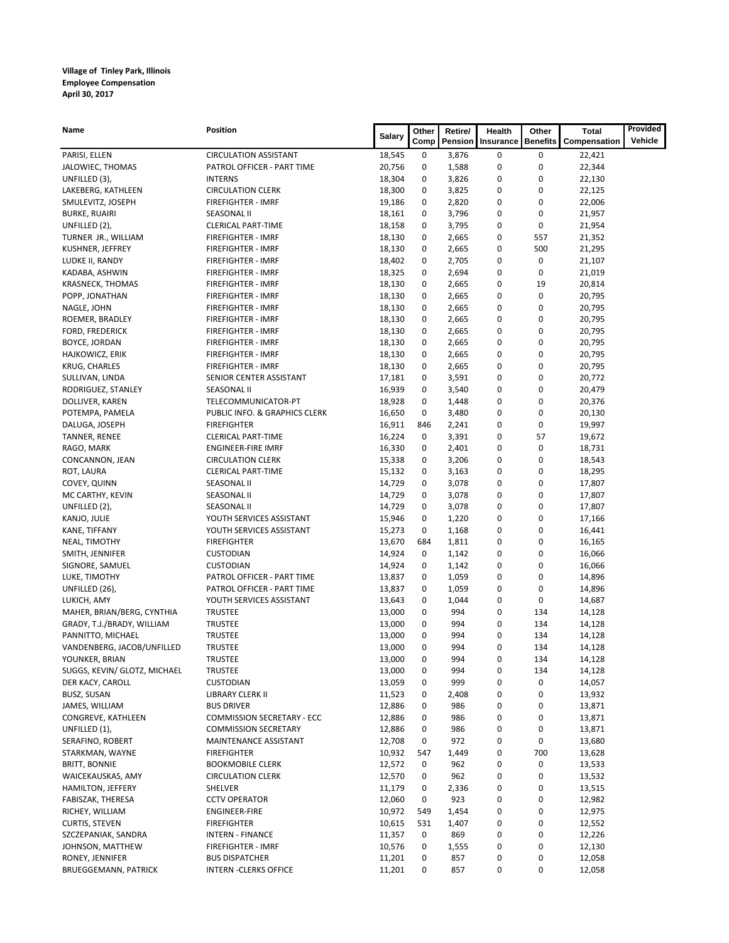| Name                         | Position                          | <b>Salary</b> | Other | Retire/ | Health    | Other           | <b>Total</b> | Provided |
|------------------------------|-----------------------------------|---------------|-------|---------|-----------|-----------------|--------------|----------|
|                              |                                   |               | Comp  | Pension | Insurance | <b>Benefits</b> | Compensation | Vehicle  |
| PARISI, ELLEN                | <b>CIRCULATION ASSISTANT</b>      | 18,545        | 0     | 3,876   | 0         | 0               | 22,421       |          |
| JALOWIEC, THOMAS             | PATROL OFFICER - PART TIME        | 20,756        | 0     | 1,588   | 0         | 0               | 22,344       |          |
| UNFILLED (3),                | <b>INTERNS</b>                    | 18,304        | 0     | 3,826   | 0         | 0               | 22,130       |          |
| LAKEBERG, KATHLEEN           | <b>CIRCULATION CLERK</b>          | 18,300        | 0     | 3,825   | 0         | 0               | 22,125       |          |
| SMULEVITZ, JOSEPH            | <b>FIREFIGHTER - IMRF</b>         | 19,186        | 0     | 2,820   | 0         | 0               | 22,006       |          |
| <b>BURKE, RUAIRI</b>         | <b>SEASONAL II</b>                | 18,161        | 0     | 3,796   | 0         | 0               | 21,957       |          |
| UNFILLED (2),                | <b>CLERICAL PART-TIME</b>         | 18,158        | 0     | 3,795   | 0         | 0               | 21,954       |          |
| TURNER JR., WILLIAM          | FIREFIGHTER - IMRF                | 18,130        | 0     | 2,665   | 0         | 557             | 21,352       |          |
| KUSHNER, JEFFREY             | <b>FIREFIGHTER - IMRF</b>         | 18,130        | 0     | 2,665   | 0         | 500             | 21,295       |          |
| LUDKE II, RANDY              | FIREFIGHTER - IMRF                | 18,402        | 0     | 2,705   | 0         | 0               | 21,107       |          |
| KADABA, ASHWIN               | <b>FIREFIGHTER - IMRF</b>         | 18,325        | 0     | 2,694   | 0         | 0               | 21,019       |          |
| <b>KRASNECK, THOMAS</b>      | <b>FIREFIGHTER - IMRF</b>         | 18,130        | 0     | 2,665   | 0         | 19              | 20,814       |          |
| POPP, JONATHAN               | <b>FIREFIGHTER - IMRF</b>         | 18,130        | 0     | 2,665   | 0         | 0               | 20,795       |          |
| NAGLE, JOHN                  | <b>FIREFIGHTER - IMRF</b>         | 18,130        | 0     | 2,665   | 0         | 0               | 20,795       |          |
| ROEMER, BRADLEY              | <b>FIREFIGHTER - IMRF</b>         | 18,130        | 0     | 2,665   | 0         | 0               | 20,795       |          |
| FORD, FREDERICK              | FIREFIGHTER - IMRF                | 18,130        | 0     | 2,665   | 0         | 0               | 20,795       |          |
| <b>BOYCE, JORDAN</b>         | <b>FIREFIGHTER - IMRF</b>         | 18,130        | 0     | 2,665   | 0         | 0               | 20,795       |          |
| HAJKOWICZ, ERIK              | <b>FIREFIGHTER - IMRF</b>         | 18,130        | 0     | 2,665   | 0         | 0               | 20,795       |          |
| KRUG, CHARLES                | FIREFIGHTER - IMRF                | 18,130        | 0     | 2,665   | 0         | 0               | 20,795       |          |
| SULLIVAN, LINDA              | SENIOR CENTER ASSISTANT           | 17,181        | 0     | 3,591   | 0         | 0               | 20,772       |          |
| RODRIGUEZ, STANLEY           | <b>SEASONAL II</b>                | 16,939        | 0     | 3,540   | 0         | 0               | 20,479       |          |
| DOLLIVER, KAREN              | TELECOMMUNICATOR-PT               | 18,928        | 0     | 1,448   | 0         | 0               | 20,376       |          |
| POTEMPA, PAMELA              | PUBLIC INFO. & GRAPHICS CLERK     | 16,650        | 0     | 3,480   | 0         | 0               | 20,130       |          |
| DALUGA, JOSEPH               | <b>FIREFIGHTER</b>                | 16,911        | 846   | 2,241   | 0         | 0               | 19,997       |          |
| TANNER, RENEE                | <b>CLERICAL PART-TIME</b>         | 16,224        | 0     | 3,391   | 0         | 57              | 19,672       |          |
| RAGO, MARK                   | <b>ENGINEER-FIRE IMRF</b>         | 16,330        | 0     | 2,401   | 0         | 0               | 18,731       |          |
| CONCANNON, JEAN              | <b>CIRCULATION CLERK</b>          | 15,338        | 0     | 3,206   | 0         | 0               | 18,543       |          |
| ROT, LAURA                   | <b>CLERICAL PART-TIME</b>         | 15,132        | 0     | 3,163   | 0         | 0               | 18,295       |          |
| COVEY, QUINN                 | <b>SEASONAL II</b>                | 14,729        | 0     | 3,078   | 0         | 0               | 17,807       |          |
| MC CARTHY, KEVIN             | <b>SEASONAL II</b>                | 14,729        | 0     | 3,078   | 0         | 0               | 17,807       |          |
| UNFILLED (2),                | <b>SEASONAL II</b>                | 14,729        | 0     | 3,078   | 0         | 0               | 17,807       |          |
| KANJO, JULIE                 | YOUTH SERVICES ASSISTANT          | 15,946        | 0     | 1,220   | 0         | 0               | 17,166       |          |
| KANE, TIFFANY                | YOUTH SERVICES ASSISTANT          | 15,273        | 0     | 1,168   | 0         | 0               | 16,441       |          |
| NEAL, TIMOTHY                | <b>FIREFIGHTER</b>                | 13,670        | 684   | 1,811   | 0         | 0               | 16,165       |          |
| SMITH, JENNIFER              | <b>CUSTODIAN</b>                  | 14,924        | 0     | 1,142   | 0         | 0               | 16,066       |          |
| SIGNORE, SAMUEL              | <b>CUSTODIAN</b>                  | 14,924        | 0     | 1,142   | 0         | 0               | 16,066       |          |
| LUKE, TIMOTHY                | PATROL OFFICER - PART TIME        | 13,837        | 0     | 1,059   | 0         | 0               | 14,896       |          |
| UNFILLED (26),               | PATROL OFFICER - PART TIME        | 13,837        | 0     | 1,059   | 0         | 0               | 14,896       |          |
| LUKICH, AMY                  | YOUTH SERVICES ASSISTANT          | 13,643        | 0     | 1,044   | 0         | 0               | 14,687       |          |
| MAHER, BRIAN/BERG, CYNTHIA   | <b>TRUSTEE</b>                    | 13,000        | 0     | 994     | 0         | 134             | 14,128       |          |
| GRADY, T.J./BRADY, WILLIAM   | TRUSTEE                           | 13,000        | 0     | 994     | 0         | 134             | 14,128       |          |
| PANNITTO, MICHAEL            | <b>TRUSTEE</b>                    | 13,000        | 0     | 994     | 0         | 134             | 14,128       |          |
| VANDENBERG, JACOB/UNFILLED   | <b>TRUSTEE</b>                    | 13,000        | 0     | 994     | 0         | 134             | 14,128       |          |
| YOUNKER, BRIAN               | TRUSTEE                           | 13,000        | 0     | 994     | 0         | 134             | 14,128       |          |
| SUGGS, KEVIN/ GLOTZ, MICHAEL | <b>TRUSTEE</b>                    | 13,000        | 0     | 994     | 0         | 134             | 14,128       |          |
| DER KACY, CAROLL             | <b>CUSTODIAN</b>                  | 13,059        | 0     | 999     | 0         | 0               | 14,057       |          |
| BUSZ, SUSAN                  | LIBRARY CLERK II                  | 11,523        | 0     | 2,408   | 0         | 0               | 13,932       |          |
| JAMES, WILLIAM               | <b>BUS DRIVER</b>                 | 12,886        | 0     | 986     | 0         | 0               | 13,871       |          |
| CONGREVE, KATHLEEN           | <b>COMMISSION SECRETARY - ECC</b> | 12,886        | 0     | 986     | 0         | 0               | 13,871       |          |
| UNFILLED (1),                | <b>COMMISSION SECRETARY</b>       | 12,886        | 0     | 986     | 0         | 0               | 13,871       |          |
| SERAFINO, ROBERT             | MAINTENANCE ASSISTANT             | 12,708        | 0     | 972     | 0         | 0               | 13,680       |          |
| STARKMAN, WAYNE              | <b>FIREFIGHTER</b>                | 10,932        | 547   | 1,449   | 0         | 700             | 13,628       |          |
| <b>BRITT, BONNIE</b>         | <b>BOOKMOBILE CLERK</b>           | 12,572        | 0     | 962     | 0         | 0               | 13,533       |          |
| WAICEKAUSKAS, AMY            | <b>CIRCULATION CLERK</b>          | 12,570        | 0     | 962     | 0         | 0               | 13,532       |          |
| HAMILTON, JEFFERY            | SHELVER                           | 11,179        | 0     | 2,336   | 0         | 0               | 13,515       |          |
| FABISZAK, THERESA            | <b>CCTV OPERATOR</b>              | 12,060        | 0     | 923     | 0         | 0               | 12,982       |          |
| RICHEY, WILLIAM              | ENGINEER-FIRE                     | 10,972        | 549   | 1,454   | 0         | 0               | 12,975       |          |
| CURTIS, STEVEN               | <b>FIREFIGHTER</b>                | 10,615        | 531   | 1,407   | 0         | 0               | 12,552       |          |
| SZCZEPANIAK, SANDRA          | INTERN - FINANCE                  | 11,357        | 0     | 869     | 0         | 0               | 12,226       |          |
| JOHNSON, MATTHEW             | FIREFIGHTER - IMRF                | 10,576        | 0     | 1,555   | 0         | 0               | 12,130       |          |
| RONEY, JENNIFER              | <b>BUS DISPATCHER</b>             | 11,201        | 0     | 857     | 0         | 0               | 12,058       |          |
| <b>BRUEGGEMANN, PATRICK</b>  | <b>INTERN - CLERKS OFFICE</b>     | 11,201        | 0     | 857     | 0         | 0               | 12,058       |          |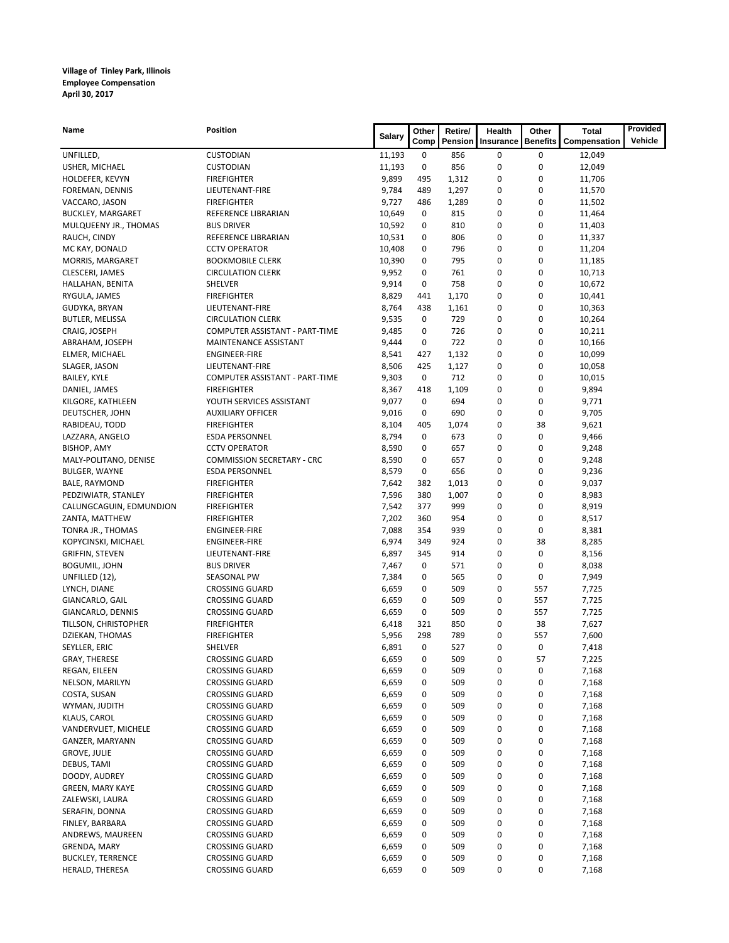| Name                            | <b>Position</b>                          | <b>Salary</b>    | Other  | Retire/    | Health    | Other           | Total            | Provided |
|---------------------------------|------------------------------------------|------------------|--------|------------|-----------|-----------------|------------------|----------|
|                                 |                                          |                  | Comp   | Pension    | Insurance | <b>Benefits</b> | Compensation     | Vehicle  |
| UNFILLED,                       | <b>CUSTODIAN</b>                         | 11,193           | 0      | 856        | 0         | $\bf{0}$        | 12,049           |          |
| USHER, MICHAEL                  | <b>CUSTODIAN</b>                         | 11,193           | 0      | 856        | 0         | 0               | 12,049           |          |
| HOLDEFER, KEVYN                 | <b>FIREFIGHTER</b>                       | 9,899            | 495    | 1,312      | 0         | $\mathbf 0$     | 11,706           |          |
| FOREMAN, DENNIS                 | LIEUTENANT-FIRE                          | 9,784            | 489    | 1,297      | 0         | 0               | 11,570           |          |
| VACCARO, JASON                  | <b>FIREFIGHTER</b>                       | 9,727            | 486    | 1,289      | 0         | 0               | 11,502           |          |
| <b>BUCKLEY, MARGARET</b>        | REFERENCE LIBRARIAN                      | 10,649           | 0      | 815        | 0         | 0               | 11,464           |          |
| MULQUEENY JR., THOMAS           | <b>BUS DRIVER</b><br>REFERENCE LIBRARIAN | 10,592           | 0<br>0 | 810<br>806 | 0<br>0    | 0<br>0          | 11,403           |          |
| RAUCH, CINDY<br>MC KAY, DONALD  | <b>CCTV OPERATOR</b>                     | 10,531<br>10,408 | 0      | 796        | 0         | $\mathbf 0$     | 11,337           |          |
| MORRIS, MARGARET                | <b>BOOKMOBILE CLERK</b>                  | 10,390           | 0      | 795        | 0         | 0               | 11,204<br>11,185 |          |
| CLESCERI, JAMES                 | <b>CIRCULATION CLERK</b>                 | 9,952            | 0      | 761        | 0         | 0               | 10,713           |          |
| HALLAHAN, BENITA                | SHELVER                                  | 9,914            | 0      | 758        | 0         | 0               | 10,672           |          |
| RYGULA, JAMES                   | <b>FIREFIGHTER</b>                       | 8,829            | 441    | 1,170      | 0         | $\mathbf 0$     | 10,441           |          |
| GUDYKA, BRYAN                   | LIEUTENANT-FIRE                          | 8,764            | 438    | 1,161      | 0         | $\mathbf 0$     | 10,363           |          |
| BUTLER, MELISSA                 | <b>CIRCULATION CLERK</b>                 | 9,535            | 0      | 729        | 0         | 0               | 10,264           |          |
| CRAIG, JOSEPH                   | COMPUTER ASSISTANT - PART-TIME           | 9,485            | 0      | 726        | 0         | $\mathbf 0$     | 10,211           |          |
| ABRAHAM, JOSEPH                 | MAINTENANCE ASSISTANT                    | 9,444            | 0      | 722        | 0         | $\mathbf 0$     | 10,166           |          |
| ELMER, MICHAEL                  | <b>ENGINEER-FIRE</b>                     | 8,541            | 427    | 1,132      | 0         | 0               | 10,099           |          |
| SLAGER, JASON                   | LIEUTENANT-FIRE                          | 8,506            | 425    | 1,127      | 0         | 0               | 10,058           |          |
| BAILEY, KYLE                    | COMPUTER ASSISTANT - PART-TIME           | 9,303            | 0      | 712        | 0         | $\mathbf 0$     | 10,015           |          |
| DANIEL, JAMES                   | <b>FIREFIGHTER</b>                       | 8,367            | 418    | 1,109      | 0         | 0               | 9,894            |          |
| KILGORE, KATHLEEN               | YOUTH SERVICES ASSISTANT                 | 9,077            | 0      | 694        | 0         | 0               | 9,771            |          |
| DEUTSCHER, JOHN                 | <b>AUXILIARY OFFICER</b>                 | 9,016            | 0      | 690        | 0         | $\mathbf 0$     | 9,705            |          |
| RABIDEAU, TODD                  | <b>FIREFIGHTER</b>                       | 8,104            | 405    | 1,074      | 0         | 38              | 9,621            |          |
| LAZZARA, ANGELO                 | <b>ESDA PERSONNEL</b>                    | 8,794            | 0      | 673        | 0         | $\mathbf 0$     | 9,466            |          |
| <b>BISHOP, AMY</b>              | <b>CCTV OPERATOR</b>                     | 8,590            | 0      | 657        | 0         | 0               | 9,248            |          |
| MALY-POLITANO, DENISE           | <b>COMMISSION SECRETARY - CRC</b>        | 8,590            | 0      | 657        | 0         | 0               | 9,248            |          |
| BULGER, WAYNE                   | <b>ESDA PERSONNEL</b>                    | 8,579            | 0      | 656        | 0         | $\mathbf 0$     | 9,236            |          |
| BALE, RAYMOND                   | <b>FIREFIGHTER</b>                       | 7,642            | 382    | 1,013      | 0         | 0               | 9,037            |          |
| PEDZIWIATR, STANLEY             | <b>FIREFIGHTER</b>                       | 7,596            | 380    | 1,007      | 0         | $\mathbf 0$     | 8,983            |          |
| CALUNGCAGUIN, EDMUNDJON         | <b>FIREFIGHTER</b>                       | 7,542            | 377    | 999        | 0         | 0               | 8,919            |          |
| ZANTA, MATTHEW                  | <b>FIREFIGHTER</b>                       | 7,202            | 360    | 954        | 0         | $\mathbf 0$     | 8,517            |          |
| TONRA JR., THOMAS               | <b>ENGINEER-FIRE</b>                     | 7,088            | 354    | 939        | 0         | $\bf{0}$        | 8,381            |          |
| KOPYCINSKI, MICHAEL             | <b>ENGINEER-FIRE</b>                     | 6,974            | 349    | 924        | 0         | 38              | 8,285            |          |
| GRIFFIN, STEVEN                 | LIEUTENANT-FIRE                          | 6,897            | 345    | 914        | 0         | 0               | 8,156            |          |
| <b>BOGUMIL, JOHN</b>            | <b>BUS DRIVER</b>                        | 7,467            | 0      | 571        | 0         | 0               | 8,038            |          |
| UNFILLED (12),                  | SEASONAL PW<br><b>CROSSING GUARD</b>     | 7,384<br>6,659   | 0<br>0 | 565<br>509 | 0<br>0    | $\bf{0}$<br>557 | 7,949            |          |
| LYNCH, DIANE<br>GIANCARLO, GAIL | <b>CROSSING GUARD</b>                    | 6,659            | 0      | 509        | 0         | 557             | 7,725<br>7,725   |          |
| GIANCARLO, DENNIS               | <b>CROSSING GUARD</b>                    | 6,659            | 0      | 509        | 0         | 557             | 7,725            |          |
| TILLSON, CHRISTOPHER            | <b>FIREFIGHTER</b>                       | 6,418            | 321    | 850        | 0         | 38              | 7,627            |          |
| DZIEKAN, THOMAS                 | <b>FIREFIGHTER</b>                       | 5,956            | 298    | 789        | 0         | 557             | 7,600            |          |
| SEYLLER, ERIC                   | SHELVER                                  | 6,891            | 0      | 527        | 0         | $\bf{0}$        | 7,418            |          |
| GRAY, THERESE                   | <b>CROSSING GUARD</b>                    | 6,659            | 0      | 509        | 0         | 57              | 7,225            |          |
| REGAN, EILEEN                   | <b>CROSSING GUARD</b>                    | 6,659            | 0      | 509        | 0         | 0               | 7,168            |          |
| NELSON, MARILYN                 | <b>CROSSING GUARD</b>                    | 6,659            | 0      | 509        | 0         | 0               | 7,168            |          |
| COSTA, SUSAN                    | <b>CROSSING GUARD</b>                    | 6,659            | 0      | 509        | 0         | 0               | 7,168            |          |
| WYMAN, JUDITH                   | <b>CROSSING GUARD</b>                    | 6,659            | 0      | 509        | 0         | 0               | 7,168            |          |
| KLAUS, CAROL                    | <b>CROSSING GUARD</b>                    | 6,659            | 0      | 509        | 0         | 0               | 7,168            |          |
| VANDERVLIET, MICHELE            | <b>CROSSING GUARD</b>                    | 6,659            | 0      | 509        | 0         | 0               | 7,168            |          |
| GANZER, MARYANN                 | <b>CROSSING GUARD</b>                    | 6,659            | 0      | 509        | 0         | 0               | 7,168            |          |
| <b>GROVE, JULIE</b>             | <b>CROSSING GUARD</b>                    | 6,659            | 0      | 509        | 0         | 0               | 7,168            |          |
| DEBUS, TAMI                     | <b>CROSSING GUARD</b>                    | 6,659            | 0      | 509        | 0         | 0               | 7,168            |          |
| DOODY, AUDREY                   | <b>CROSSING GUARD</b>                    | 6,659            | 0      | 509        | 0         | 0               | 7,168            |          |
| <b>GREEN, MARY KAYE</b>         | <b>CROSSING GUARD</b>                    | 6,659            | 0      | 509        | 0         | 0               | 7,168            |          |
| ZALEWSKI, LAURA                 | <b>CROSSING GUARD</b>                    | 6,659            | 0      | 509        | 0         | 0               | 7,168            |          |
| SERAFIN, DONNA                  | <b>CROSSING GUARD</b>                    | 6,659            | 0      | 509        | 0         | 0               | 7,168            |          |
| FINLEY, BARBARA                 | <b>CROSSING GUARD</b>                    | 6,659            | 0      | 509        | 0         | 0               | 7,168            |          |
| ANDREWS, MAUREEN                | <b>CROSSING GUARD</b>                    | 6,659            | 0      | 509        | 0         | 0               | 7,168            |          |
| GRENDA, MARY                    | <b>CROSSING GUARD</b>                    | 6,659            | 0      | 509        | 0         | 0               | 7,168            |          |
| <b>BUCKLEY, TERRENCE</b>        | <b>CROSSING GUARD</b>                    | 6,659            | 0      | 509        | 0         | 0               | 7,168            |          |
| HERALD, THERESA                 | <b>CROSSING GUARD</b>                    | 6,659            | 0      | 509        | 0         | 0               | 7,168            |          |